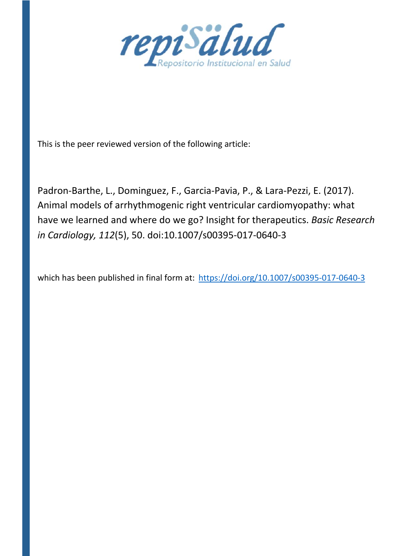

This is the peer reviewed version of the following article:

Padron‐Barthe, L., Dominguez, F., Garcia‐Pavia, P., & Lara‐Pezzi, E. (2017). Animal models of arrhythmogenic right ventricular cardiomyopathy: what have we learned and where do we go? Insight for therapeutics. *Basic Research in Cardiology, 112*(5), 50. doi:10.1007/s00395‐017‐0640‐3

which has been published in final form at: https://doi.org/10.1007/s00395-017-0640-3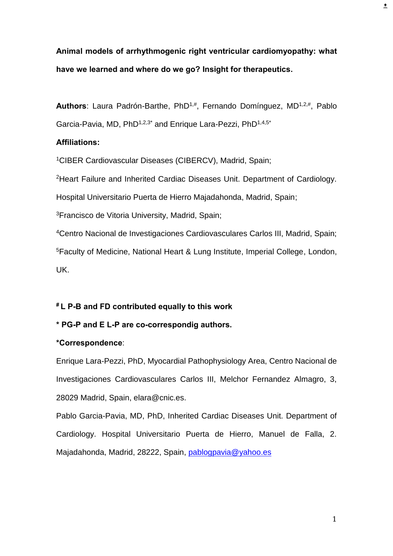**Animal models of arrhythmogenic right ventricular cardiomyopathy: what have we learned and where do we go? Insight for therapeutics.** 

Authors: Laura Padrón-Barthe, PhD<sup>1,#</sup>, Fernando Domínguez, MD<sup>1,2,#</sup>, Pablo Garcia-Pavia, MD, PhD<sup>1,2,3\*</sup> and Enrique Lara-Pezzi, PhD<sup>1,4,5\*</sup>

# **Affiliations:**

<sup>1</sup>CIBER Cardiovascular Diseases (CIBERCV), Madrid, Spain;

<sup>2</sup>Heart Failure and Inherited Cardiac Diseases Unit. Department of Cardiology.

Hospital Universitario Puerta de Hierro Majadahonda, Madrid, Spain;

<sup>3</sup>Francisco de Vitoria University, Madrid, Spain;

<sup>4</sup>Centro Nacional de Investigaciones Cardiovasculares Carlos III, Madrid, Spain; <sup>5</sup>Faculty of Medicine, National Heart & Lung Institute, Imperial College, London, UK.

# **# L P-B and FD contributed equally to this work**

## **\* PG-P and E L-P are co-correspondig authors.**

## **\*Correspondence**:

Enrique Lara-Pezzi, PhD, Myocardial Pathophysiology Area, Centro Nacional de Investigaciones Cardiovasculares Carlos III, Melchor Fernandez Almagro, 3, 28029 Madrid, Spain, elara@cnic.es.

Pablo Garcia-Pavia, MD, PhD, Inherited Cardiac Diseases Unit. Department of Cardiology. Hospital Universitario Puerta de Hierro, Manuel de Falla, 2. Majadahonda, Madrid, 28222, Spain, [pablogpavia@yahoo.es](mailto:pablogpavia@yahoo.es)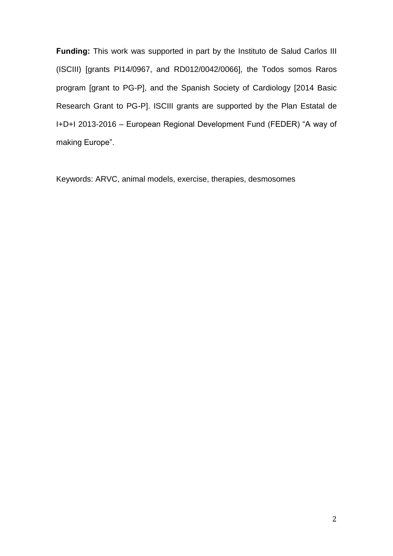**Funding:** This work was supported in part by the Instituto de Salud Carlos III (ISCIII) [grants PI14/0967, and RD012/0042/0066], the Todos somos Raros program [grant to PG-P], and the Spanish Society of Cardiology [2014 Basic Research Grant to PG-P]. ISCIII grants are supported by the Plan Estatal de I+D+I 2013-2016 – European Regional Development Fund (FEDER) "A way of making Europe".

Keywords: ARVC, animal models, exercise, therapies, desmosomes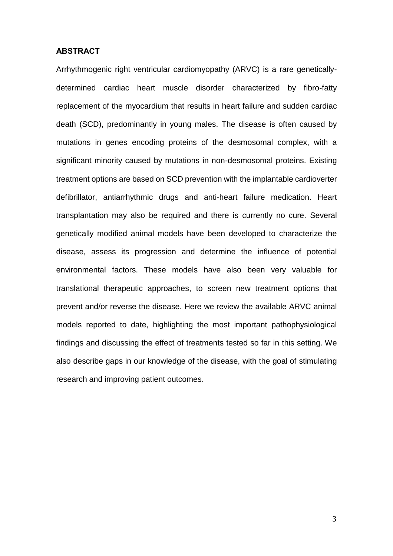#### **ABSTRACT**

Arrhythmogenic right ventricular cardiomyopathy (ARVC) is a rare geneticallydetermined cardiac heart muscle disorder characterized by fibro-fatty replacement of the myocardium that results in heart failure and sudden cardiac death (SCD), predominantly in young males. The disease is often caused by mutations in genes encoding proteins of the desmosomal complex, with a significant minority caused by mutations in non-desmosomal proteins. Existing treatment options are based on SCD prevention with the implantable cardioverter defibrillator, antiarrhythmic drugs and anti-heart failure medication. Heart transplantation may also be required and there is currently no cure. Several genetically modified animal models have been developed to characterize the disease, assess its progression and determine the influence of potential environmental factors. These models have also been very valuable for translational therapeutic approaches, to screen new treatment options that prevent and/or reverse the disease. Here we review the available ARVC animal models reported to date, highlighting the most important pathophysiological findings and discussing the effect of treatments tested so far in this setting. We also describe gaps in our knowledge of the disease, with the goal of stimulating research and improving patient outcomes.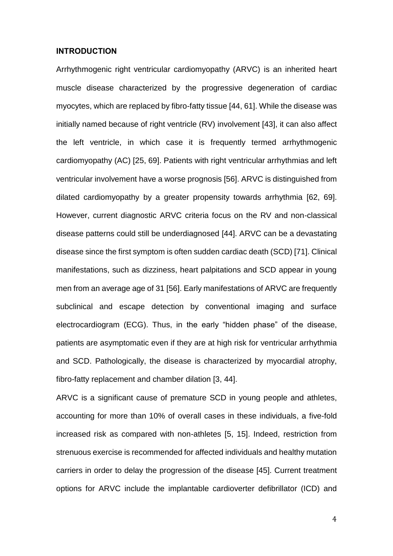## **INTRODUCTION**

Arrhythmogenic right ventricular cardiomyopathy (ARVC) is an inherited heart muscle disease characterized by the progressive degeneration of cardiac myocytes, which are replaced by fibro-fatty tissue [44, 61]. While the disease was initially named because of right ventricle (RV) involvement [43], it can also affect the left ventricle, in which case it is frequently termed arrhythmogenic cardiomyopathy (AC) [25, 69]. Patients with right ventricular arrhythmias and left ventricular involvement have a worse prognosis [56]. ARVC is distinguished from dilated cardiomyopathy by a greater propensity towards arrhythmia [62, 69]. However, current diagnostic ARVC criteria focus on the RV and non-classical disease patterns could still be underdiagnosed [44]. ARVC can be a devastating disease since the first symptom is often sudden cardiac death (SCD) [71]. Clinical manifestations, such as dizziness, heart palpitations and SCD appear in young men from an average age of 31 [56]. Early manifestations of ARVC are frequently subclinical and escape detection by conventional imaging and surface electrocardiogram (ECG). Thus, in the early "hidden phase" of the disease, patients are asymptomatic even if they are at high risk for ventricular arrhythmia and SCD. Pathologically, the disease is characterized by myocardial atrophy, fibro-fatty replacement and chamber dilation [3, 44].

ARVC is a significant cause of premature SCD in young people and athletes, accounting for more than 10% of overall cases in these individuals, a five-fold increased risk as compared with non-athletes [5, 15]. Indeed, restriction from strenuous exercise is recommended for affected individuals and healthy mutation carriers in order to delay the progression of the disease [45]. Current treatment options for ARVC include the implantable cardioverter defibrillator (ICD) and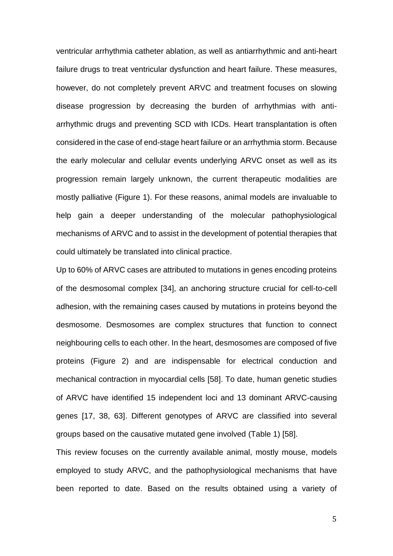ventricular arrhythmia catheter ablation, as well as antiarrhythmic and anti-heart failure drugs to treat ventricular dysfunction and heart failure. These measures, however, do not completely prevent ARVC and treatment focuses on slowing disease progression by decreasing the burden of arrhythmias with antiarrhythmic drugs and preventing SCD with ICDs. Heart transplantation is often considered in the case of end-stage heart failure or an arrhythmia storm. Because the early molecular and cellular events underlying ARVC onset as well as its progression remain largely unknown, the current therapeutic modalities are mostly palliative (Figure 1). For these reasons, animal models are invaluable to help gain a deeper understanding of the molecular pathophysiological mechanisms of ARVC and to assist in the development of potential therapies that could ultimately be translated into clinical practice.

Up to 60% of ARVC cases are attributed to mutations in genes encoding proteins of the desmosomal complex [34], an anchoring structure crucial for cell-to-cell adhesion, with the remaining cases caused by mutations in proteins beyond the desmosome. Desmosomes are complex structures that function to connect neighbouring cells to each other. In the heart, desmosomes are composed of five proteins (Figure 2) and are indispensable for electrical conduction and mechanical contraction in myocardial cells [58]. To date, human genetic studies of ARVC have identified 15 independent loci and 13 dominant ARVC-causing genes [17, 38, 63]. Different genotypes of ARVC are classified into several groups based on the causative mutated gene involved (Table 1) [58].

This review focuses on the currently available animal, mostly mouse, models employed to study ARVC, and the pathophysiological mechanisms that have been reported to date. Based on the results obtained using a variety of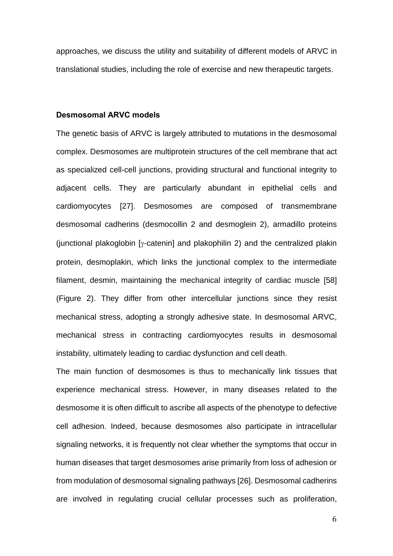approaches, we discuss the utility and suitability of different models of ARVC in translational studies, including the role of exercise and new therapeutic targets.

## **Desmosomal ARVC models**

The genetic basis of ARVC is largely attributed to mutations in the desmosomal complex. Desmosomes are multiprotein structures of the cell membrane that act as specialized cell-cell junctions, providing structural and functional integrity to adjacent cells. They are particularly abundant in epithelial cells and cardiomyocytes [27]. Desmosomes are composed of transmembrane desmosomal cadherins (desmocollin 2 and desmoglein 2), armadillo proteins (junctional plakoglobin [ $\gamma$ -catenin] and plakophilin 2) and the centralized plakin protein, desmoplakin, which links the junctional complex to the intermediate filament, desmin, maintaining the mechanical integrity of cardiac muscle [58] (Figure 2). They differ from other intercellular junctions since they resist mechanical stress, adopting a strongly adhesive state. In desmosomal ARVC, mechanical stress in contracting cardiomyocytes results in desmosomal instability, ultimately leading to cardiac dysfunction and cell death.

The main function of desmosomes is thus to mechanically link tissues that experience mechanical stress. However, in many diseases related to the desmosome it is often difficult to ascribe all aspects of the phenotype to defective cell adhesion. Indeed, because desmosomes also participate in intracellular signaling networks, it is frequently not clear whether the symptoms that occur in human diseases that target desmosomes arise primarily from loss of adhesion or from modulation of desmosomal signaling pathways [26]. Desmosomal cadherins are involved in regulating crucial cellular processes such as proliferation,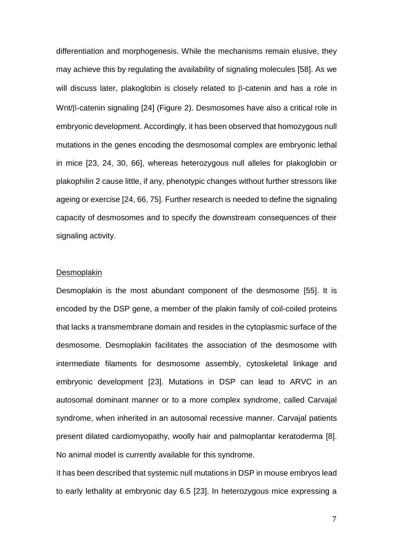differentiation and morphogenesis. While the mechanisms remain elusive, they may achieve this by regulating the availability of signaling molecules [58]. As we will discuss later, plakoglobin is closely related to  $\beta$ -catenin and has a role in  $Wnt/\beta$ -catenin signaling [24] (Figure 2). Desmosomes have also a critical role in embryonic development. Accordingly, it has been observed that homozygous null mutations in the genes encoding the desmosomal complex are embryonic lethal in mice [23, 24, 30, 66], whereas heterozygous null alleles for plakoglobin or plakophilin 2 cause little, if any, phenotypic changes without further stressors like ageing or exercise [24, 66, 75]. Further research is needed to define the signaling capacity of desmosomes and to specify the downstream consequences of their signaling activity.

## Desmoplakin

Desmoplakin is the most abundant component of the desmosome [55]. It is encoded by the DSP gene, a member of the plakin family of coil-coiled proteins that lacks a transmembrane domain and resides in the cytoplasmic surface of the desmosome. Desmoplakin facilitates the association of the desmosome with intermediate filaments for desmosome assembly, cytoskeletal linkage and embryonic development [23]. Mutations in DSP can lead to ARVC in an autosomal dominant manner or to a more complex syndrome, called Carvajal syndrome, when inherited in an autosomal recessive manner. Carvajal patients present dilated cardiomyopathy, woolly hair and palmoplantar keratoderma [8]. No animal model is currently available for this syndrome.

It has been described that systemic null mutations in DSP in mouse embryos lead to early lethality at embryonic day 6.5 [23]. In heterozygous mice expressing a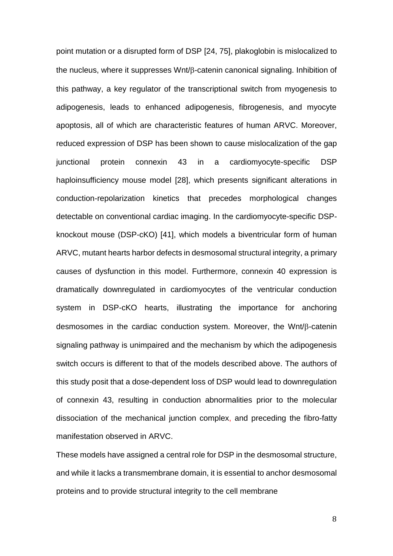point mutation or a disrupted form of DSP [24, 75], plakoglobin is mislocalized to the nucleus, where it suppresses  $Wnt/B$ -catenin canonical signaling. Inhibition of this pathway, a key regulator of the transcriptional switch from myogenesis to adipogenesis, leads to enhanced adipogenesis, fibrogenesis, and myocyte apoptosis, all of which are characteristic features of human ARVC. Moreover, reduced expression of DSP has been shown to cause mislocalization of the gap junctional protein connexin 43 in a cardiomyocyte-specific DSP haploinsufficiency mouse model [28], which presents significant alterations in conduction-repolarization kinetics that precedes morphological changes detectable on conventional cardiac imaging. In the cardiomyocyte-specific DSPknockout mouse (DSP-cKO) [41], which models a biventricular form of human ARVC, mutant hearts harbor defects in desmosomal structural integrity, a primary causes of dysfunction in this model. Furthermore, connexin 40 expression is dramatically downregulated in cardiomyocytes of the ventricular conduction system in DSP-cKO hearts, illustrating the importance for anchoring desmosomes in the cardiac conduction system. Moreover, the  $Wnt/\beta$ -catenin signaling pathway is unimpaired and the mechanism by which the adipogenesis switch occurs is different to that of the models described above. The authors of this study posit that a dose-dependent loss of DSP would lead to downregulation of connexin 43, resulting in conduction abnormalities prior to the molecular dissociation of the mechanical junction complex, and preceding the fibro-fatty manifestation observed in ARVC.

These models have assigned a central role for DSP in the desmosomal structure, and while it lacks a transmembrane domain, it is essential to anchor desmosomal proteins and to provide structural integrity to the cell membrane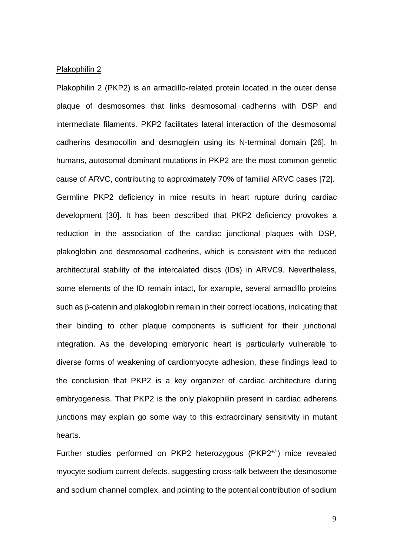## Plakophilin 2

Plakophilin 2 (PKP2) is an armadillo-related protein located in the outer dense plaque of desmosomes that links desmosomal cadherins with DSP and intermediate filaments. PKP2 facilitates lateral interaction of the desmosomal cadherins desmocollin and desmoglein using its N-terminal domain [26]. In humans, autosomal dominant mutations in PKP2 are the most common genetic cause of ARVC, contributing to approximately 70% of familial ARVC cases [72]. Germline PKP2 deficiency in mice results in heart rupture during cardiac development [30]. It has been described that PKP2 deficiency provokes a reduction in the association of the cardiac junctional plaques with DSP, plakoglobin and desmosomal cadherins, which is consistent with the reduced architectural stability of the intercalated discs (IDs) in ARVC9. Nevertheless, some elements of the ID remain intact, for example, several armadillo proteins such as  $\beta$ -catenin and plakoglobin remain in their correct locations, indicating that their binding to other plaque components is sufficient for their junctional integration. As the developing embryonic heart is particularly vulnerable to diverse forms of weakening of cardiomyocyte adhesion, these findings lead to the conclusion that PKP2 is a key organizer of cardiac architecture during embryogenesis. That PKP2 is the only plakophilin present in cardiac adherens junctions may explain go some way to this extraordinary sensitivity in mutant hearts.

Further studies performed on PKP2 heterozygous (PKP2<sup>+/-</sup>) mice revealed myocyte sodium current defects, suggesting cross-talk between the desmosome and sodium channel complex, and pointing to the potential contribution of sodium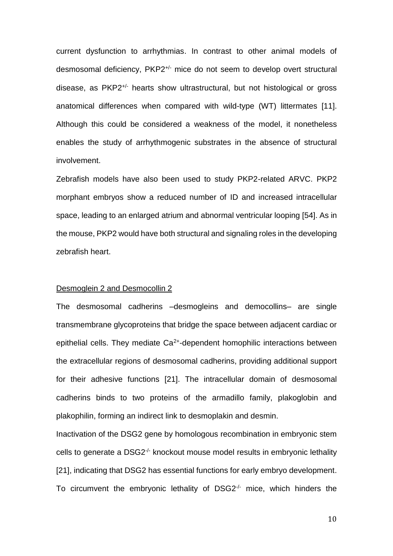current dysfunction to arrhythmias. In contrast to other animal models of desmosomal deficiency, PKP2+/- mice do not seem to develop overt structural disease, as PKP2+/- hearts show ultrastructural, but not histological or gross anatomical differences when compared with wild-type (WT) littermates [11]. Although this could be considered a weakness of the model, it nonetheless enables the study of arrhythmogenic substrates in the absence of structural involvement.

Zebrafish models have also been used to study PKP2-related ARVC. PKP2 morphant embryos show a reduced number of ID and increased intracellular space, leading to an enlarged atrium and abnormal ventricular looping [54]. As in the mouse, PKP2 would have both structural and signaling roles in the developing zebrafish heart.

## Desmoglein 2 and Desmocollin 2

The desmosomal cadherins –desmogleins and democollins– are single transmembrane glycoproteins that bridge the space between adjacent cardiac or epithelial cells. They mediate Ca<sup>2+</sup>-dependent homophilic interactions between the extracellular regions of desmosomal cadherins, providing additional support for their adhesive functions [21]. The intracellular domain of desmosomal cadherins binds to two proteins of the armadillo family, plakoglobin and plakophilin, forming an indirect link to desmoplakin and desmin.

Inactivation of the DSG2 gene by homologous recombination in embryonic stem cells to generate a DSG2-/- knockout mouse model results in embryonic lethality [21], indicating that DSG2 has essential functions for early embryo development. To circumvent the embryonic lethality of DSG2<sup>-/-</sup> mice, which hinders the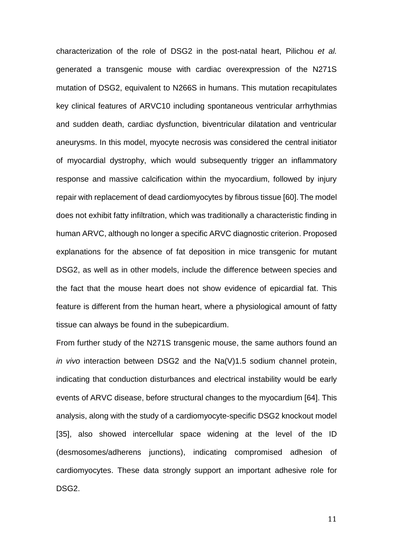characterization of the role of DSG2 in the post-natal heart, Pilichou *et al.* generated a transgenic mouse with cardiac overexpression of the N271S mutation of DSG2, equivalent to N266S in humans. This mutation recapitulates key clinical features of ARVC10 including spontaneous ventricular arrhythmias and sudden death, cardiac dysfunction, biventricular dilatation and ventricular aneurysms. In this model, myocyte necrosis was considered the central initiator of myocardial dystrophy, which would subsequently trigger an inflammatory response and massive calcification within the myocardium, followed by injury repair with replacement of dead cardiomyocytes by fibrous tissue [60].The model does not exhibit fatty infiltration, which was traditionally a characteristic finding in human ARVC, although no longer a specific ARVC diagnostic criterion. Proposed explanations for the absence of fat deposition in mice transgenic for mutant DSG2, as well as in other models, include the difference between species and the fact that the mouse heart does not show evidence of epicardial fat. This feature is different from the human heart, where a physiological amount of fatty tissue can always be found in the subepicardium.

From further study of the N271S transgenic mouse, the same authors found an *in vivo* interaction between DSG2 and the Na(V)1.5 sodium channel protein, indicating that conduction disturbances and electrical instability would be early events of ARVC disease, before structural changes to the myocardium [64]. This analysis, along with the study of a cardiomyocyte-specific DSG2 knockout model [35], also showed intercellular space widening at the level of the ID (desmosomes/adherens junctions), indicating compromised adhesion of cardiomyocytes. These data strongly support an important adhesive role for DSG2.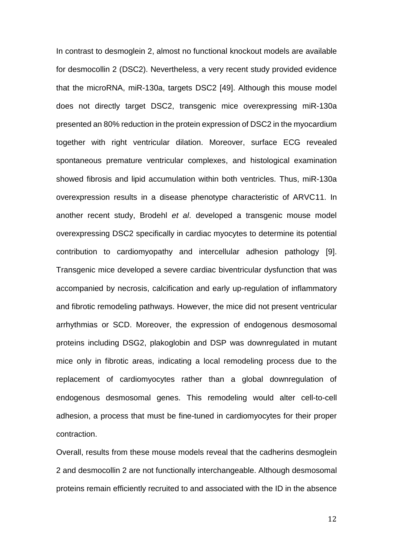In contrast to desmoglein 2, almost no functional knockout models are available for desmocollin 2 (DSC2). Nevertheless, a very recent study provided evidence that the microRNA, miR-130a, targets DSC2 [49]. Although this mouse model does not directly target DSC2, transgenic mice overexpressing miR-130a presented an 80% reduction in the protein expression of DSC2 in the myocardium together with right ventricular dilation. Moreover, surface ECG revealed spontaneous premature ventricular complexes, and histological examination showed fibrosis and lipid accumulation within both ventricles. Thus, miR-130a overexpression results in a disease phenotype characteristic of ARVC11. In another recent study, Brodehl *et al*. developed a transgenic mouse model overexpressing DSC2 specifically in cardiac myocytes to determine its potential contribution to cardiomyopathy and intercellular adhesion pathology [9]. Transgenic mice developed a severe cardiac biventricular dysfunction that was accompanied by necrosis, calcification and early up-regulation of inflammatory and fibrotic remodeling pathways. However, the mice did not present ventricular arrhythmias or SCD. Moreover, the expression of endogenous desmosomal proteins including DSG2, plakoglobin and DSP was downregulated in mutant mice only in fibrotic areas, indicating a local remodeling process due to the replacement of cardiomyocytes rather than a global downregulation of endogenous desmosomal genes. This remodeling would alter cell-to-cell adhesion, a process that must be fine-tuned in cardiomyocytes for their proper contraction.

Overall, results from these mouse models reveal that the cadherins desmoglein 2 and desmocollin 2 are not functionally interchangeable. Although desmosomal proteins remain efficiently recruited to and associated with the ID in the absence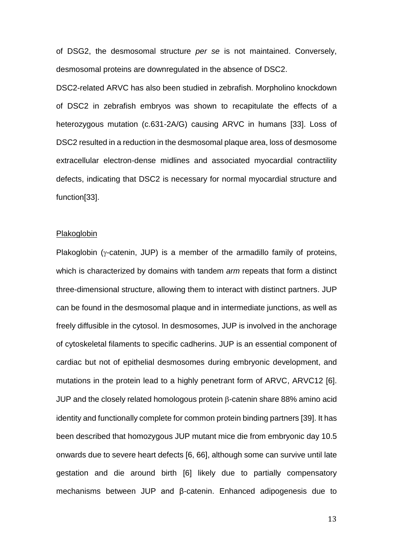of DSG2, the desmosomal structure *per se* is not maintained. Conversely, desmosomal proteins are downregulated in the absence of DSC2.

DSC2-related ARVC has also been studied in zebrafish. Morpholino knockdown of DSC2 in zebrafish embryos was shown to recapitulate the effects of a heterozygous mutation (c.631-2A/G) causing ARVC in humans [33]. Loss of DSC2 resulted in a reduction in the desmosomal plaque area, loss of desmosome extracellular electron-dense midlines and associated myocardial contractility defects, indicating that DSC2 is necessary for normal myocardial structure and function[33].

#### **Plakoglobin**

Plakoglobin ( $\gamma$ -catenin, JUP) is a member of the armadillo family of proteins, which is characterized by domains with tandem *arm* repeats that form a distinct three-dimensional structure, allowing them to interact with distinct partners. JUP can be found in the desmosomal plaque and in intermediate junctions, as well as freely diffusible in the cytosol. In desmosomes, JUP is involved in the anchorage of cytoskeletal filaments to specific cadherins. JUP is an essential component of cardiac but not of epithelial desmosomes during embryonic development, and mutations in the protein lead to a highly penetrant form of ARVC, ARVC12 [6]. JUP and the closely related homologous protein  $\beta$ -catenin share 88% amino acid identity and functionally complete for common protein binding partners [39]. It has been described that homozygous JUP mutant mice die from embryonic day 10.5 onwards due to severe heart defects [6, 66], although some can survive until late gestation and die around birth [6] likely due to partially compensatory mechanisms between JUP and β-catenin. Enhanced adipogenesis due to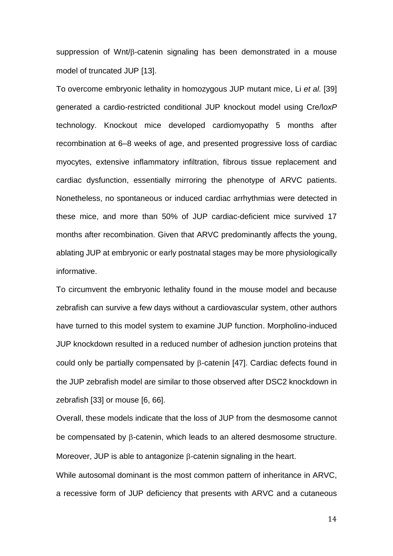suppression of Wnt/ $\beta$ -catenin signaling has been demonstrated in a mouse model of truncated JUP [13].

To overcome embryonic lethality in homozygous JUP mutant mice, Li *et al.* [39] generated a cardio-restricted conditional JUP knockout model using Cre/l*oxP* technology. Knockout mice developed cardiomyopathy 5 months after recombination at 6–8 weeks of age, and presented progressive loss of cardiac myocytes, extensive inflammatory infiltration, fibrous tissue replacement and cardiac dysfunction, essentially mirroring the phenotype of ARVC patients. Nonetheless, no spontaneous or induced cardiac arrhythmias were detected in these mice, and more than 50% of JUP cardiac-deficient mice survived 17 months after recombination. Given that ARVC predominantly affects the young, ablating JUP at embryonic or early postnatal stages may be more physiologically informative.

To circumvent the embryonic lethality found in the mouse model and because zebrafish can survive a few days without a cardiovascular system, other authors have turned to this model system to examine JUP function. Morpholino-induced JUP knockdown resulted in a reduced number of adhesion junction proteins that could only be partially compensated by  $\beta$ -catenin [47]. Cardiac defects found in the JUP zebrafish model are similar to those observed after DSC2 knockdown in zebrafish [33] or mouse [6, 66].

Overall, these models indicate that the loss of JUP from the desmosome cannot be compensated by B-catenin, which leads to an altered desmosome structure. Moreover, JUP is able to antagonize  $\beta$ -catenin signaling in the heart.

While autosomal dominant is the most common pattern of inheritance in ARVC, a recessive form of JUP deficiency that presents with ARVC and a cutaneous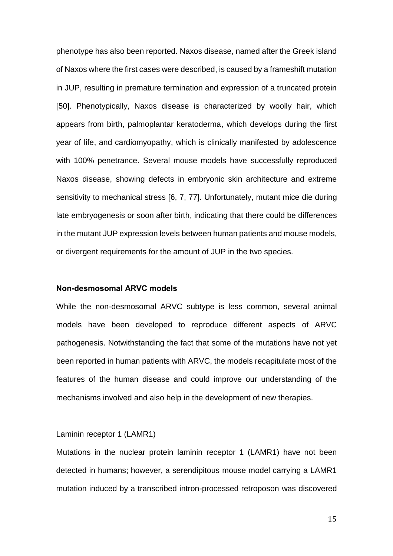phenotype has also been reported. Naxos disease, named after the Greek island of Naxos where the first cases were described, is caused by a frameshift mutation in JUP, resulting in premature termination and expression of a truncated protein [50]. Phenotypically, Naxos disease is characterized by woolly hair, which appears from birth, palmoplantar keratoderma, which develops during the first year of life, and cardiomyopathy, which is clinically manifested by adolescence with 100% penetrance. Several mouse models have successfully reproduced Naxos disease, showing defects in embryonic skin architecture and extreme sensitivity to mechanical stress [6, 7, 77]. Unfortunately, mutant mice die during late embryogenesis or soon after birth, indicating that there could be differences in the mutant JUP expression levels between human patients and mouse models, or divergent requirements for the amount of JUP in the two species.

## **Non-desmosomal ARVC models**

While the non-desmosomal ARVC subtype is less common, several animal models have been developed to reproduce different aspects of ARVC pathogenesis. Notwithstanding the fact that some of the mutations have not yet been reported in human patients with ARVC, the models recapitulate most of the features of the human disease and could improve our understanding of the mechanisms involved and also help in the development of new therapies.

#### Laminin receptor 1 (LAMR1)

Mutations in the nuclear protein laminin receptor 1 (LAMR1) have not been detected in humans; however, a serendipitous mouse model carrying a LAMR1 mutation induced by a transcribed intron-processed retroposon was discovered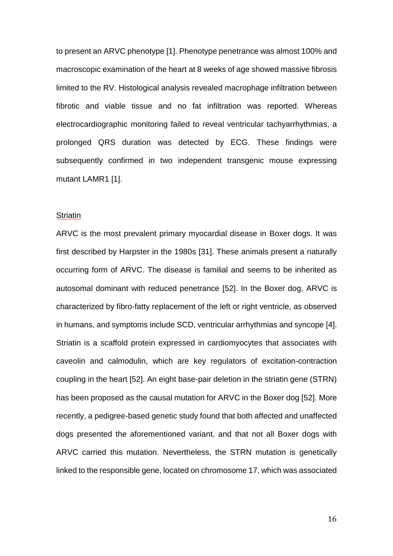to present an ARVC phenotype [1]. Phenotype penetrance was almost 100% and macroscopic examination of the heart at 8 weeks of age showed massive fibrosis limited to the RV. Histological analysis revealed macrophage infiltration between fibrotic and viable tissue and no fat infiltration was reported. Whereas electrocardiographic monitoring failed to reveal ventricular tachyarrhythmias, a prolonged QRS duration was detected by ECG. These findings were subsequently confirmed in two independent transgenic mouse expressing mutant LAMR1 [1].

## **Striatin**

ARVC is the most prevalent primary myocardial disease in Boxer dogs. It was first described by Harpster in the 1980s [31]. These animals present a naturally occurring form of ARVC. The disease is familial and seems to be inherited as autosomal dominant with reduced penetrance [52]. In the Boxer dog, ARVC is characterized by fibro-fatty replacement of the left or right ventricle, as observed in humans, and symptoms include SCD, ventricular arrhythmias and syncope [4]. Striatin is a scaffold protein expressed in cardiomyocytes that associates with caveolin and calmodulin, which are key regulators of excitation-contraction coupling in the heart [52]. An eight base-pair deletion in the striatin gene (STRN) has been proposed as the causal mutation for ARVC in the Boxer dog [52]. More recently, a pedigree-based genetic study found that both affected and unaffected dogs presented the aforementioned variant, and that not all Boxer dogs with ARVC carried this mutation. Nevertheless, the STRN mutation is genetically linked to the responsible gene, located on chromosome 17, which was associated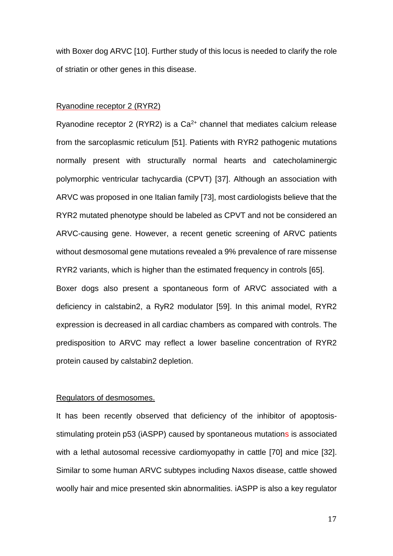with Boxer dog ARVC [10]. Further study of this locus is needed to clarify the role of striatin or other genes in this disease.

## Ryanodine receptor 2 (RYR2)

Ryanodine receptor 2 (RYR2) is a  $Ca<sup>2+</sup>$  channel that mediates calcium release from the sarcoplasmic reticulum [51]. Patients with RYR2 pathogenic mutations normally present with structurally normal hearts and catecholaminergic polymorphic ventricular tachycardia (CPVT) [37]. Although an association with ARVC was proposed in one Italian family [73], most cardiologists believe that the RYR2 mutated phenotype should be labeled as CPVT and not be considered an ARVC-causing gene. However, a recent genetic screening of ARVC patients without desmosomal gene mutations revealed a 9% prevalence of rare missense RYR2 variants, which is higher than the estimated frequency in controls [65]. Boxer dogs also present a spontaneous form of ARVC associated with a deficiency in calstabin2, a RyR2 modulator [59]. In this animal model, RYR2 expression is decreased in all cardiac chambers as compared with controls. The predisposition to ARVC may reflect a lower baseline concentration of RYR2 protein caused by calstabin2 depletion.

## Regulators of desmosomes.

It has been recently observed that deficiency of the inhibitor of apoptosisstimulating protein p53 (iASPP) caused by spontaneous mutations is associated with a lethal autosomal recessive cardiomyopathy in cattle [70] and mice [32]. Similar to some human ARVC subtypes including Naxos disease, cattle showed woolly hair and mice presented skin abnormalities. iASPP is also a key regulator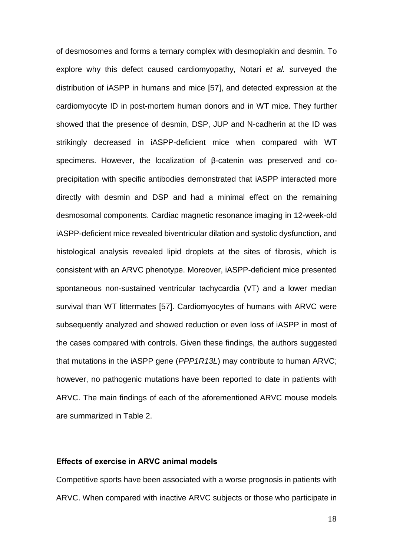of desmosomes and forms a ternary complex with desmoplakin and desmin. To explore why this defect caused cardiomyopathy, Notari *et al.* surveyed the distribution of iASPP in humans and mice [57], and detected expression at the cardiomyocyte ID in post-mortem human donors and in WT mice. They further showed that the presence of desmin, DSP, JUP and N-cadherin at the ID was strikingly decreased in iASPP-deficient mice when compared with WT specimens. However, the localization of β-catenin was preserved and coprecipitation with specific antibodies demonstrated that iASPP interacted more directly with desmin and DSP and had a minimal effect on the remaining desmosomal components. Cardiac magnetic resonance imaging in 12-week-old iASPP-deficient mice revealed biventricular dilation and systolic dysfunction, and histological analysis revealed lipid droplets at the sites of fibrosis, which is consistent with an ARVC phenotype. Moreover, iASPP-deficient mice presented spontaneous non-sustained ventricular tachycardia (VT) and a lower median survival than WT littermates [57]. Cardiomyocytes of humans with ARVC were subsequently analyzed and showed reduction or even loss of iASPP in most of the cases compared with controls. Given these findings, the authors suggested that mutations in the iASPP gene (*PPP1R13L*) may contribute to human ARVC; however, no pathogenic mutations have been reported to date in patients with ARVC. The main findings of each of the aforementioned ARVC mouse models are summarized in Table 2.

## **Effects of exercise in ARVC animal models**

Competitive sports have been associated with a worse prognosis in patients with ARVC. When compared with inactive ARVC subjects or those who participate in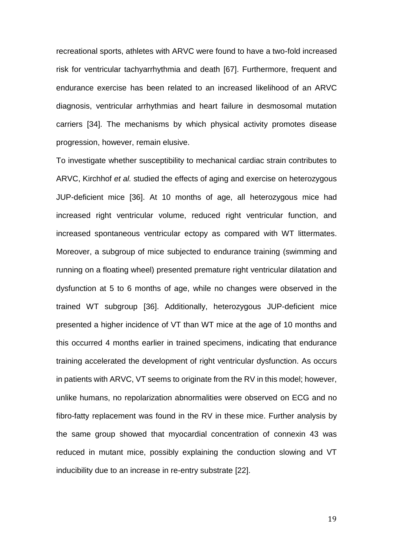recreational sports, athletes with ARVC were found to have a two-fold increased risk for ventricular tachyarrhythmia and death [67]. Furthermore, frequent and endurance exercise has been related to an increased likelihood of an ARVC diagnosis, ventricular arrhythmias and heart failure in desmosomal mutation carriers [34]. The mechanisms by which physical activity promotes disease progression, however, remain elusive.

To investigate whether susceptibility to mechanical cardiac strain contributes to ARVC, Kirchhof *et al.* studied the effects of aging and exercise on heterozygous JUP-deficient mice [36]. At 10 months of age, all heterozygous mice had increased right ventricular volume, reduced right ventricular function, and increased spontaneous ventricular ectopy as compared with WT littermates. Moreover, a subgroup of mice subjected to endurance training (swimming and running on a floating wheel) presented premature right ventricular dilatation and dysfunction at 5 to 6 months of age, while no changes were observed in the trained WT subgroup [36]. Additionally, heterozygous JUP-deficient mice presented a higher incidence of VT than WT mice at the age of 10 months and this occurred 4 months earlier in trained specimens, indicating that endurance training accelerated the development of right ventricular dysfunction. As occurs in patients with ARVC, VT seems to originate from the RV in this model; however, unlike humans, no repolarization abnormalities were observed on ECG and no fibro-fatty replacement was found in the RV in these mice. Further analysis by the same group showed that myocardial concentration of connexin 43 was reduced in mutant mice, possibly explaining the conduction slowing and VT inducibility due to an increase in re-entry substrate [22].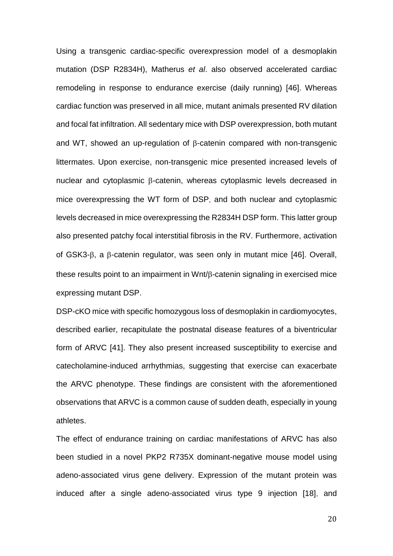Using a transgenic cardiac-specific overexpression model of a desmoplakin mutation (DSP R2834H), Matherus *et al*. also observed accelerated cardiac remodeling in response to endurance exercise (daily running) [46]. Whereas cardiac function was preserved in all mice, mutant animals presented RV dilation and focal fat infiltration. All sedentary mice with DSP overexpression, both mutant and WT, showed an up-regulation of  $\beta$ -catenin compared with non-transgenic littermates. Upon exercise, non-transgenic mice presented increased levels of nuclear and cytoplasmic  $\beta$ -catenin, whereas cytoplasmic levels decreased in mice overexpressing the WT form of DSP, and both nuclear and cytoplasmic levels decreased in mice overexpressing the R2834H DSP form. This latter group also presented patchy focal interstitial fibrosis in the RV. Furthermore, activation of GSK3- $\beta$ , a  $\beta$ -catenin regulator, was seen only in mutant mice [46]. Overall, these results point to an impairment in  $Wnt/\beta$ -catenin signaling in exercised mice expressing mutant DSP.

DSP-cKO mice with specific homozygous loss of desmoplakin in cardiomyocytes, described earlier, recapitulate the postnatal disease features of a biventricular form of ARVC [41]. They also present increased susceptibility to exercise and catecholamine-induced arrhythmias, suggesting that exercise can exacerbate the ARVC phenotype. These findings are consistent with the aforementioned observations that ARVC is a common cause of sudden death, especially in young athletes.

The effect of endurance training on cardiac manifestations of ARVC has also been studied in a novel PKP2 R735X dominant-negative mouse model using adeno-associated virus gene delivery. Expression of the mutant protein was induced after a single adeno-associated virus type 9 injection [18], and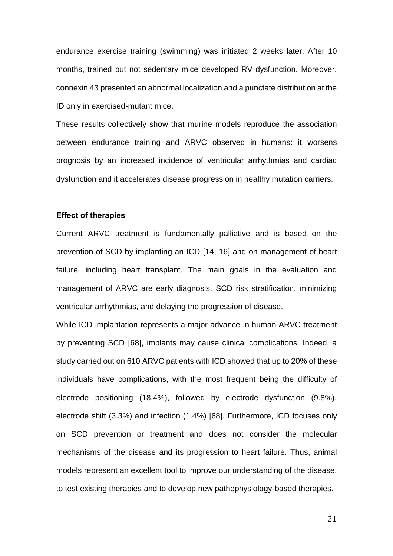endurance exercise training (swimming) was initiated 2 weeks later. After 10 months, trained but not sedentary mice developed RV dysfunction. Moreover, connexin 43 presented an abnormal localization and a punctate distribution at the ID only in exercised-mutant mice.

These results collectively show that murine models reproduce the association between endurance training and ARVC observed in humans: it worsens prognosis by an increased incidence of ventricular arrhythmias and cardiac dysfunction and it accelerates disease progression in healthy mutation carriers.

## **Effect of therapies**

Current ARVC treatment is fundamentally palliative and is based on the prevention of SCD by implanting an ICD [14, 16] and on management of heart failure, including heart transplant. The main goals in the evaluation and management of ARVC are early diagnosis, SCD risk stratification, minimizing ventricular arrhythmias, and delaying the progression of disease.

While ICD implantation represents a major advance in human ARVC treatment by preventing SCD [68], implants may cause clinical complications. Indeed, a study carried out on 610 ARVC patients with ICD showed that up to 20% of these individuals have complications, with the most frequent being the difficulty of electrode positioning (18.4%), followed by electrode dysfunction (9.8%), electrode shift (3.3%) and infection (1.4%) [68]. Furthermore, ICD focuses only on SCD prevention or treatment and does not consider the molecular mechanisms of the disease and its progression to heart failure. Thus, animal models represent an excellent tool to improve our understanding of the disease, to test existing therapies and to develop new pathophysiology-based therapies.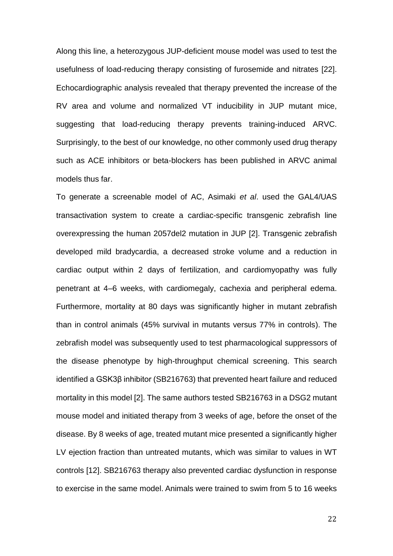Along this line, a heterozygous JUP-deficient mouse model was used to test the usefulness of load-reducing therapy consisting of furosemide and nitrates [22]. Echocardiographic analysis revealed that therapy prevented the increase of the RV area and volume and normalized VT inducibility in JUP mutant mice, suggesting that load-reducing therapy prevents training-induced ARVC. Surprisingly, to the best of our knowledge, no other commonly used drug therapy such as ACE inhibitors or beta-blockers has been published in ARVC animal models thus far.

To generate a screenable model of AC, Asimaki *et al*. used the GAL4/UAS transactivation system to create a cardiac-specific transgenic zebrafish line overexpressing the human 2057del2 mutation in JUP [2]. Transgenic zebrafish developed mild bradycardia, a decreased stroke volume and a reduction in cardiac output within 2 days of fertilization, and cardiomyopathy was fully penetrant at 4–6 weeks, with cardiomegaly, cachexia and peripheral edema. Furthermore, mortality at 80 days was significantly higher in mutant zebrafish than in control animals (45% survival in mutants versus 77% in controls). The zebrafish model was subsequently used to test pharmacological suppressors of the disease phenotype by high-throughput chemical screening. This search identified a GSK3β inhibitor (SB216763) that prevented heart failure and reduced mortality in this model [2]. The same authors tested SB216763 in a DSG2 mutant mouse model and initiated therapy from 3 weeks of age, before the onset of the disease. By 8 weeks of age, treated mutant mice presented a significantly higher LV ejection fraction than untreated mutants, which was similar to values in WT controls [12]. SB216763 therapy also prevented cardiac dysfunction in response to exercise in the same model. Animals were trained to swim from 5 to 16 weeks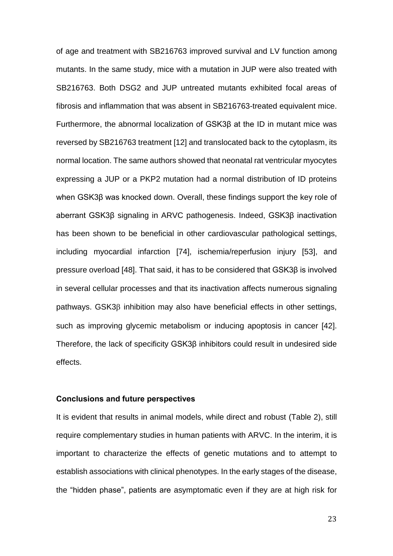of age and treatment with SB216763 improved survival and LV function among mutants. In the same study, mice with a mutation in JUP were also treated with SB216763. Both DSG2 and JUP untreated mutants exhibited focal areas of fibrosis and inflammation that was absent in SB216763-treated equivalent mice. Furthermore, the abnormal localization of GSK3β at the ID in mutant mice was reversed by SB216763 treatment [12] and translocated back to the cytoplasm, its normal location. The same authors showed that neonatal rat ventricular myocytes expressing a JUP or a PKP2 mutation had a normal distribution of ID proteins when GSK3β was knocked down. Overall, these findings support the key role of aberrant GSK3β signaling in ARVC pathogenesis. Indeed, GSK3β inactivation has been shown to be beneficial in other cardiovascular pathological settings, including myocardial infarction [74], ischemia/reperfusion injury [53], and pressure overload [48]. That said, it has to be considered that GSK3β is involved in several cellular processes and that its inactivation affects numerous signaling pathways. GSK3 $\beta$  inhibition may also have beneficial effects in other settings, such as improving glycemic metabolism or inducing apoptosis in cancer [42]. Therefore, the lack of specificity GSK3β inhibitors could result in undesired side effects.

#### **Conclusions and future perspectives**

It is evident that results in animal models, while direct and robust (Table 2), still require complementary studies in human patients with ARVC. In the interim, it is important to characterize the effects of genetic mutations and to attempt to establish associations with clinical phenotypes. In the early stages of the disease, the "hidden phase", patients are asymptomatic even if they are at high risk for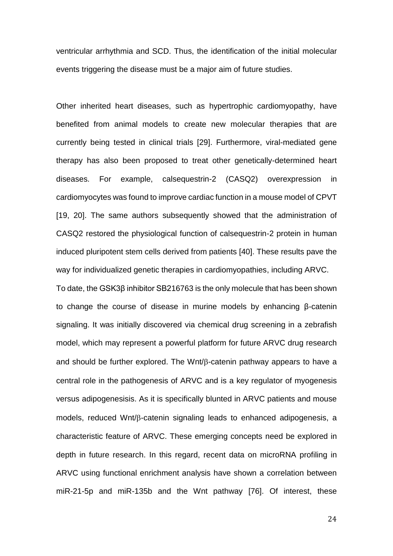ventricular arrhythmia and SCD. Thus, the identification of the initial molecular events triggering the disease must be a major aim of future studies.

Other inherited heart diseases, such as hypertrophic cardiomyopathy, have benefited from animal models to create new molecular therapies that are currently being tested in clinical trials [29]. Furthermore, viral-mediated gene therapy has also been proposed to treat other genetically-determined heart diseases. For example, calsequestrin-2 (CASQ2) overexpression in cardiomyocytes was found to improve cardiac function in a mouse model of CPVT [19, 20]. The same authors subsequently showed that the administration of CASQ2 restored the physiological function of calsequestrin-2 protein in human induced pluripotent stem cells derived from patients [40]. These results pave the way for individualized genetic therapies in cardiomyopathies, including ARVC. To date, the GSK3β inhibitor SB216763 is the only molecule that has been shown to change the course of disease in murine models by enhancing β-catenin signaling. It was initially discovered via chemical drug screening in a zebrafish model, which may represent a powerful platform for future ARVC drug research and should be further explored. The  $Wnt/\beta$ -catenin pathway appears to have a central role in the pathogenesis of ARVC and is a key regulator of myogenesis versus adipogenesisis. As it is specifically blunted in ARVC patients and mouse models, reduced Wnt/ $\beta$ -catenin signaling leads to enhanced adipogenesis, a characteristic feature of ARVC. These emerging concepts need be explored in depth in future research. In this regard, recent data on microRNA profiling in ARVC using functional enrichment analysis have shown a correlation between miR-21-5p and miR-135b and the Wnt pathway [76]. Of interest, these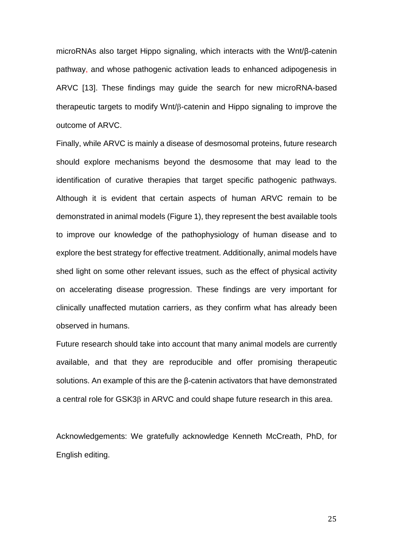microRNAs also target Hippo signaling, which interacts with the Wnt/β-catenin pathway, and whose pathogenic activation leads to enhanced adipogenesis in ARVC [13]. These findings may guide the search for new microRNA-based therapeutic targets to modify  $Wnt/\beta$ -catenin and Hippo signaling to improve the outcome of ARVC.

Finally, while ARVC is mainly a disease of desmosomal proteins, future research should explore mechanisms beyond the desmosome that may lead to the identification of curative therapies that target specific pathogenic pathways. Although it is evident that certain aspects of human ARVC remain to be demonstrated in animal models (Figure 1), they represent the best available tools to improve our knowledge of the pathophysiology of human disease and to explore the best strategy for effective treatment. Additionally, animal models have shed light on some other relevant issues, such as the effect of physical activity on accelerating disease progression. These findings are very important for clinically unaffected mutation carriers, as they confirm what has already been observed in humans.

Future research should take into account that many animal models are currently available, and that they are reproducible and offer promising therapeutic solutions. An example of this are the β-catenin activators that have demonstrated  $a$  central role for GSK3 $\beta$  in ARVC and could shape future research in this area.

Acknowledgements: We gratefully acknowledge Kenneth McCreath, PhD, for English editing.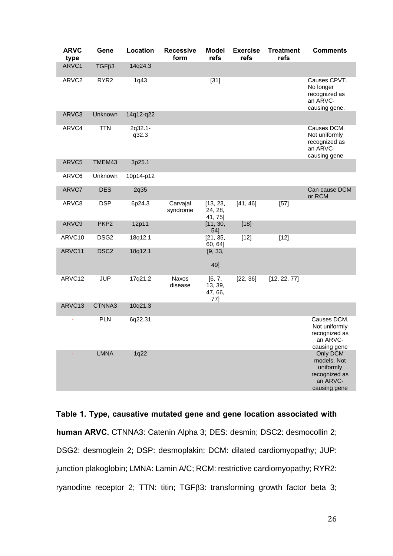| <b>ARVC</b><br>type | Gene             | Location         | <b>Recessive</b><br>form | <b>Model</b><br>refs                | <b>Exercise</b><br>refs | <b>Treatment</b><br>refs | <b>Comments</b>                                                                   |
|---------------------|------------------|------------------|--------------------------|-------------------------------------|-------------------------|--------------------------|-----------------------------------------------------------------------------------|
| ARVC1               | $TGF\beta3$      | 14q24.3          |                          |                                     |                         |                          |                                                                                   |
| ARVC2               | RYR <sub>2</sub> | 1q43             |                          | $[31]$                              |                         |                          | Causes CPVT.<br>No longer<br>recognized as<br>an ARVC-<br>causing gene.           |
| ARVC3               | Unknown          | 14q12-q22        |                          |                                     |                         |                          |                                                                                   |
| ARVC4               | <b>TTN</b>       | 2q32.1-<br>q32.3 |                          |                                     |                         |                          | Causes DCM.<br>Not uniformly<br>recognized as<br>an ARVC-<br>causing gene         |
| ARVC5               | TMEM43           | 3p25.1           |                          |                                     |                         |                          |                                                                                   |
| ARVC6               | Unknown          | 10p14-p12        |                          |                                     |                         |                          |                                                                                   |
| ARVC7               | <b>DES</b>       | 2q35             |                          |                                     |                         |                          | Can cause DCM<br>or RCM                                                           |
| ARVC8               | <b>DSP</b>       | 6p24.3           | Carvajal<br>syndrome     | [13, 23,<br>24, 28,<br>41, 75]      | [41, 46]                | $[57]$                   |                                                                                   |
| ARVC9               | PKP <sub>2</sub> | 12p11            |                          | [11, 30,<br>54]                     | $[18]$                  |                          |                                                                                   |
| ARVC10              | DSG <sub>2</sub> | 18q12.1          |                          | [21, 35,<br>60, 64]                 | $[12]$                  | $[12]$                   |                                                                                   |
| ARVC11              | DSC <sub>2</sub> | 18q12.1          |                          | [9, 33,<br>49]                      |                         |                          |                                                                                   |
| ARVC12              | <b>JUP</b>       | 17q21.2          | Naxos<br>disease         | [6, 7,<br>13, 39,<br>47, 66,<br>77] | [22, 36]                | [12, 22, 77]             |                                                                                   |
| ARVC13              | CTNNA3           | 10q21.3          |                          |                                     |                         |                          |                                                                                   |
|                     | <b>PLN</b>       | 6q22.31          |                          |                                     |                         |                          | Causes DCM.<br>Not uniformly<br>recognized as<br>an ARVC-<br>causing gene         |
|                     | <b>LMNA</b>      | 1q22             |                          |                                     |                         |                          | Only DCM<br>models. Not<br>uniformly<br>recognized as<br>an ARVC-<br>causing gene |

**Table 1. Type, causative mutated gene and gene location associated with human ARVC.** CTNNA3: Catenin Alpha 3; DES: desmin; DSC2: desmocollin 2; DSG2: desmoglein 2; DSP: desmoplakin; DCM: dilated cardiomyopathy; JUP: junction plakoglobin; LMNA: Lamin A/C; RCM: restrictive cardiomyopathy; RYR2: ryanodine receptor 2; TTN: titin; TGF<sub>B3</sub>: transforming growth factor beta 3;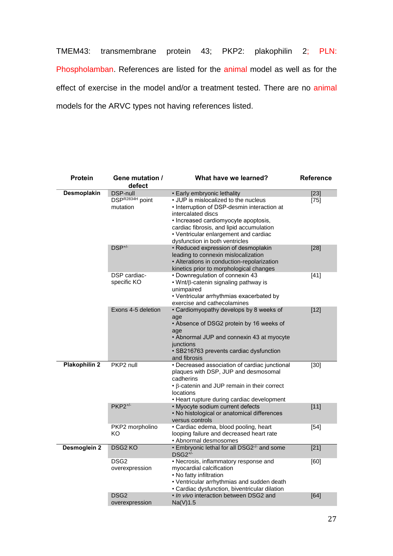TMEM43: transmembrane protein 43; PKP2: plakophilin 2; PLN: Phospholamban. References are listed for the animal model as well as for the effect of exercise in the model and/or a treatment tested. There are no animal models for the ARVC types not having references listed.

| <b>Protein</b>       | Gene mutation /<br>defect          | What have we learned?                                                                                                                                                                                                                                                    | <b>Reference</b> |
|----------------------|------------------------------------|--------------------------------------------------------------------------------------------------------------------------------------------------------------------------------------------------------------------------------------------------------------------------|------------------|
| Desmoplakin          | <b>DSP-null</b>                    | • Early embryonic lethality                                                                                                                                                                                                                                              | $[23]$           |
|                      | DSPR2834H point<br>mutation        | • JUP is mislocalized to the nucleus<br>• Interruption of DSP-desmin interaction at<br>intercalated discs<br>• Increased cardiomyocyte apoptosis,<br>cardiac fibrosis, and lipid accumulation<br>• Ventricular enlargement and cardiac<br>dysfunction in both ventricles | $[75]$           |
|                      | DSP <sup>+/-</sup>                 | · Reduced expression of desmoplakin<br>leading to connexin mislocalization<br>• Alterations in conduction-repolarization<br>kinetics prior to morphological changes                                                                                                      | $[28]$           |
|                      | DSP cardiac-<br>specific KO        | • Downregulation of connexin 43<br>• Wnt/ß-catenin signaling pathway is<br>unimpaired<br>• Ventricular arrhythmias exacerbated by<br>exercise and cathecolamines                                                                                                         | $[41]$           |
|                      | Exons 4-5 deletion                 | • Cardiomyopathy develops by 8 weeks of<br>age<br>• Absence of DSG2 protein by 16 weeks of<br>age<br>• Abnormal JUP and connexin 43 at myocyte<br>junctions<br>· SB216763 prevents cardiac dysfunction<br>and fibrosis                                                   | $[12]$           |
| <b>Plakophilin 2</b> | PKP2 null                          | • Decreased association of cardiac junctional<br>plaques with DSP, JUP and desmosomal<br>cadherins<br>$\cdot$ $\beta$ -catenin and JUP remain in their correct<br>locations<br>• Heart rupture during cardiac development                                                | $[30]$           |
|                      | $PKP2^{+/}$                        | • Myocyte sodium current defects<br>• No histological or anatomical differences<br>versus controls                                                                                                                                                                       | $[11]$           |
|                      | PKP2 morpholino<br>KO              | · Cardiac edema, blood pooling, heart<br>looping failure and decreased heart rate<br>• Abnormal desmosomes                                                                                                                                                               | $[54]$           |
| Desmoglein 2         | DSG <sub>2</sub> KO                | • Embryonic lethal for all DSG2 <sup>-/-</sup> and some<br>$DSG2^{+/}$                                                                                                                                                                                                   | $[21]$           |
|                      | DSG <sub>2</sub><br>overexpression | • Necrosis, inflammatory response and<br>myocardial calcification<br>• No fatty infiltration<br>• Ventricular arrhythmias and sudden death<br>• Cardiac dysfunction, biventricular dilation                                                                              | [60]             |
|                      | DSG <sub>2</sub><br>overexpression | • In vivo interaction between DSG2 and<br>Na(V)1.5                                                                                                                                                                                                                       | [64]             |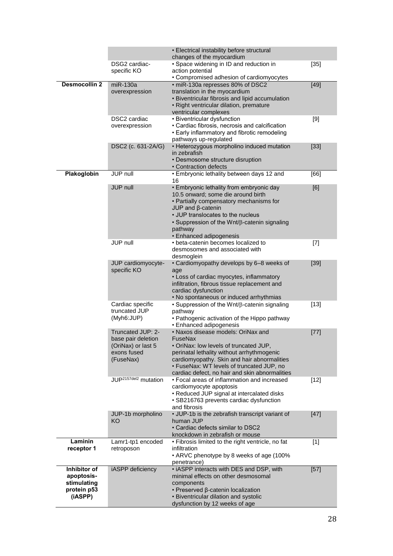|                           |                                  | • Electrical instability before structural                                                     |        |
|---------------------------|----------------------------------|------------------------------------------------------------------------------------------------|--------|
|                           |                                  | changes of the myocardium                                                                      |        |
|                           | DSG2 cardiac-<br>specific KO     | • Space widening in ID and reduction in<br>action potential                                    | $[35]$ |
|                           |                                  | • Compromised adhesion of cardiomyocytes                                                       |        |
| <b>Desmocollin 2</b>      | $miR-130a$                       | · miR-130a represses 80% of DSC2                                                               | $[49]$ |
|                           | overexpression                   | translation in the myocardium                                                                  |        |
|                           |                                  | • Biventricular fibrosis and lipid accumulation                                                |        |
|                           |                                  | • Right ventricular dilation, premature                                                        |        |
|                           |                                  | ventricular complexes                                                                          |        |
|                           | DSC2 cardiac                     | • Biventricular dysfunction                                                                    | $[9]$  |
|                           | overexpression                   | • Cardiac fibrosis, necrosis and calcification<br>• Early inflammatory and fibrotic remodeling |        |
|                           |                                  | pathways up-regulated                                                                          |        |
|                           | DSC2 (c. 631-2A/G)               | • Heterozygous morpholino induced mutation                                                     | $[33]$ |
|                           |                                  | in zebrafish                                                                                   |        |
|                           |                                  | • Desmosome structure disruption                                                               |        |
|                           |                                  | • Contraction defects                                                                          |        |
| Plakoglobin               | JUP null                         | • Embryonic lethality between days 12 and                                                      | [66]   |
|                           |                                  | 16                                                                                             |        |
|                           | <b>JUP null</b>                  | • Embryonic lethality from embryonic day<br>10.5 onward; some die around birth                 | [6]    |
|                           |                                  | • Partially compensatory mechanisms for                                                        |        |
|                           |                                  | $JUP$ and $\beta$ -catenin                                                                     |        |
|                           |                                  | • JUP translocates to the nucleus                                                              |        |
|                           |                                  | • Suppression of the Wnt/ß-catenin signaling                                                   |        |
|                           |                                  | pathway                                                                                        |        |
|                           |                                  | • Enhanced adipogenesis                                                                        |        |
|                           | JUP null                         | • beta-catenin becomes localized to                                                            | $[7]$  |
|                           |                                  | desmosomes and associated with                                                                 |        |
|                           | JUP cardiomyocyte-               | desmoglein<br>• Cardiomyopathy develops by 6-8 weeks of                                        | $[39]$ |
|                           | specific KO                      | age                                                                                            |        |
|                           |                                  | • Loss of cardiac myocytes, inflammatory                                                       |        |
|                           |                                  | infiltration, fibrous tissue replacement and                                                   |        |
|                           |                                  | cardiac dysfunction                                                                            |        |
|                           |                                  | • No spontaneous or induced arrhythmias                                                        |        |
|                           | Cardiac specific                 | • Suppression of the Wnt/β-catenin signaling                                                   | $[13]$ |
|                           | truncated JUP                    | pathway                                                                                        |        |
|                           | (Myh6:JUP)                       | • Pathogenic activation of the Hippo pathway<br>• Enhanced adipogenesis                        |        |
|                           | Truncated JUP: 2-                | · Naxos disease models: OriNax and                                                             | $[77]$ |
|                           | base pair deletion               | FuseNax                                                                                        |        |
|                           | (OriNax) or last 5               | · OriNax: low levels of truncated JUP,                                                         |        |
|                           | exons fused                      | perinatal lethality without arrhythmogenic                                                     |        |
|                           | (FuseNax)                        | cardiomyopathy. Skin and hair abnormalities                                                    |        |
|                           |                                  | · FuseNax: WT levels of truncated JUP, no                                                      |        |
|                           | JUP <sup>2157del2</sup> mutation | cardiac defect, no hair and skin abnormalities<br>• Focal areas of inflammation and increased  | $[12]$ |
|                           |                                  | cardiomyocyte apoptosis                                                                        |        |
|                           |                                  | • Reduced JUP signal at intercalated disks                                                     |        |
|                           |                                  | • SB216763 prevents cardiac dysfunction                                                        |        |
|                           |                                  | and fibrosis                                                                                   |        |
|                           | JUP-1b morpholino                | • JUP-1b is the zebrafish transcript variant of                                                | $[47]$ |
|                           | KO                               | human JUP                                                                                      |        |
|                           |                                  | • Cardiac defects similar to DSC2<br>knockdown in zebrafish or mouse                           |        |
| Laminin                   | Lamr1-tp1 encoded                | • Fibrosis limited to the right ventricle, no fat                                              | $[1]$  |
| receptor 1                | retroposon                       | infiltration                                                                                   |        |
|                           |                                  | • ARVC phenotype by 8 weeks of age (100%                                                       |        |
|                           |                                  | penetrance)                                                                                    |        |
| Inhibitor of              | iASPP deficiency                 | • iASPP interacts with DES and DSP, with                                                       | $[57]$ |
| apoptosis-<br>stimulating |                                  | minimal effects on other desmosomal                                                            |        |
| protein p53               |                                  | components<br>• Preserved β-catenin localization                                               |        |
| (iASPP)                   |                                  | • Biventricular dilation and systolic                                                          |        |
|                           |                                  | dysfunction by 12 weeks of age                                                                 |        |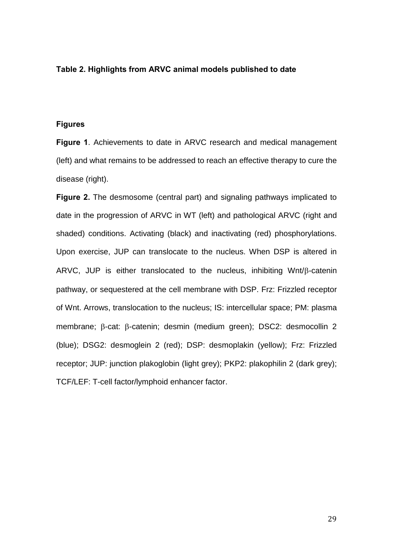# **Table 2. Highlights from ARVC animal models published to date**

## **Figures**

**Figure 1**. Achievements to date in ARVC research and medical management (left) and what remains to be addressed to reach an effective therapy to cure the disease (right).

**Figure 2.** The desmosome (central part) and signaling pathways implicated to date in the progression of ARVC in WT (left) and pathological ARVC (right and shaded) conditions. Activating (black) and inactivating (red) phosphorylations. Upon exercise, JUP can translocate to the nucleus. When DSP is altered in ARVC, JUP is either translocated to the nucleus, inhibiting Wnt/ $\beta$ -catenin pathway, or sequestered at the cell membrane with DSP. Frz: Frizzled receptor of Wnt. Arrows, translocation to the nucleus; IS: intercellular space; PM: plasma membrane;  $\beta$ -cat:  $\beta$ -catenin; desmin (medium green); DSC2: desmocollin 2 (blue); DSG2: desmoglein 2 (red); DSP: desmoplakin (yellow); Frz: Frizzled receptor; JUP: junction plakoglobin (light grey); PKP2: plakophilin 2 (dark grey); TCF/LEF: T-cell factor/lymphoid enhancer factor.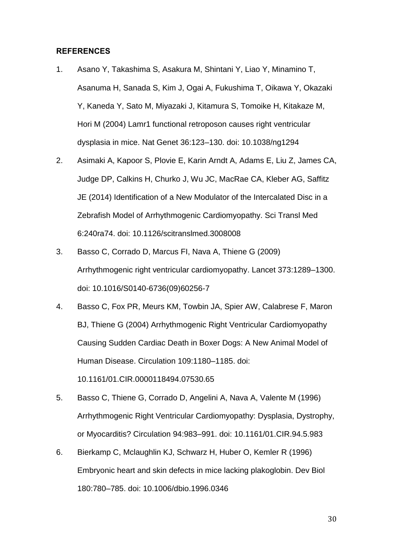## **REFERENCES**

- 1. Asano Y, Takashima S, Asakura M, Shintani Y, Liao Y, Minamino T, Asanuma H, Sanada S, Kim J, Ogai A, Fukushima T, Oikawa Y, Okazaki Y, Kaneda Y, Sato M, Miyazaki J, Kitamura S, Tomoike H, Kitakaze M, Hori M (2004) Lamr1 functional retroposon causes right ventricular dysplasia in mice. Nat Genet 36:123–130. doi: 10.1038/ng1294
- 2. Asimaki A, Kapoor S, Plovie E, Karin Arndt A, Adams E, Liu Z, James CA, Judge DP, Calkins H, Churko J, Wu JC, MacRae CA, Kleber AG, Saffitz JE (2014) Identification of a New Modulator of the Intercalated Disc in a Zebrafish Model of Arrhythmogenic Cardiomyopathy. Sci Transl Med 6:240ra74. doi: 10.1126/scitranslmed.3008008
- 3. Basso C, Corrado D, Marcus FI, Nava A, Thiene G (2009) Arrhythmogenic right ventricular cardiomyopathy. Lancet 373:1289–1300. doi: 10.1016/S0140-6736(09)60256-7
- 4. Basso C, Fox PR, Meurs KM, Towbin JA, Spier AW, Calabrese F, Maron BJ, Thiene G (2004) Arrhythmogenic Right Ventricular Cardiomyopathy Causing Sudden Cardiac Death in Boxer Dogs: A New Animal Model of Human Disease. Circulation 109:1180–1185. doi: 10.1161/01.CIR.0000118494.07530.65
- 5. Basso C, Thiene G, Corrado D, Angelini A, Nava A, Valente M (1996) Arrhythmogenic Right Ventricular Cardiomyopathy: Dysplasia, Dystrophy, or Myocarditis? Circulation 94:983–991. doi: 10.1161/01.CIR.94.5.983
- 6. Bierkamp C, Mclaughlin KJ, Schwarz H, Huber O, Kemler R (1996) Embryonic heart and skin defects in mice lacking plakoglobin. Dev Biol 180:780–785. doi: 10.1006/dbio.1996.0346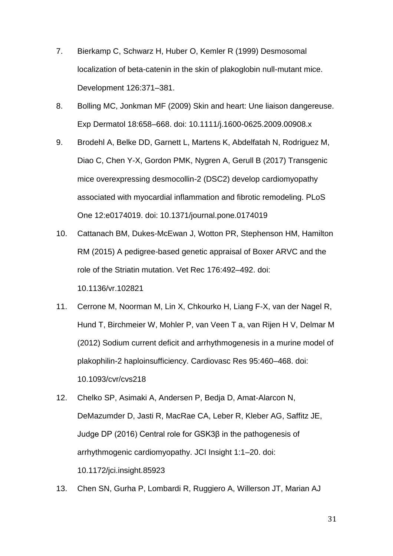- 7. Bierkamp C, Schwarz H, Huber O, Kemler R (1999) Desmosomal localization of beta-catenin in the skin of plakoglobin null-mutant mice. Development 126:371–381.
- 8. Bolling MC, Jonkman MF (2009) Skin and heart: Une liaison dangereuse. Exp Dermatol 18:658–668. doi: 10.1111/j.1600-0625.2009.00908.x
- 9. Brodehl A, Belke DD, Garnett L, Martens K, Abdelfatah N, Rodriguez M, Diao C, Chen Y-X, Gordon PMK, Nygren A, Gerull B (2017) Transgenic mice overexpressing desmocollin-2 (DSC2) develop cardiomyopathy associated with myocardial inflammation and fibrotic remodeling. PLoS One 12:e0174019. doi: 10.1371/journal.pone.0174019
- 10. Cattanach BM, Dukes-McEwan J, Wotton PR, Stephenson HM, Hamilton RM (2015) A pedigree-based genetic appraisal of Boxer ARVC and the role of the Striatin mutation. Vet Rec 176:492–492. doi: 10.1136/vr.102821
- 11. Cerrone M, Noorman M, Lin X, Chkourko H, Liang F-X, van der Nagel R, Hund T, Birchmeier W, Mohler P, van Veen T a, van Rijen H V, Delmar M (2012) Sodium current deficit and arrhythmogenesis in a murine model of plakophilin-2 haploinsufficiency. Cardiovasc Res 95:460–468. doi: 10.1093/cvr/cvs218
- 12. Chelko SP, Asimaki A, Andersen P, Bedja D, Amat-Alarcon N, DeMazumder D, Jasti R, MacRae CA, Leber R, Kleber AG, Saffitz JE, Judge DP (2016) Central role for GSK3β in the pathogenesis of arrhythmogenic cardiomyopathy. JCI Insight 1:1–20. doi: 10.1172/jci.insight.85923
- 13. Chen SN, Gurha P, Lombardi R, Ruggiero A, Willerson JT, Marian AJ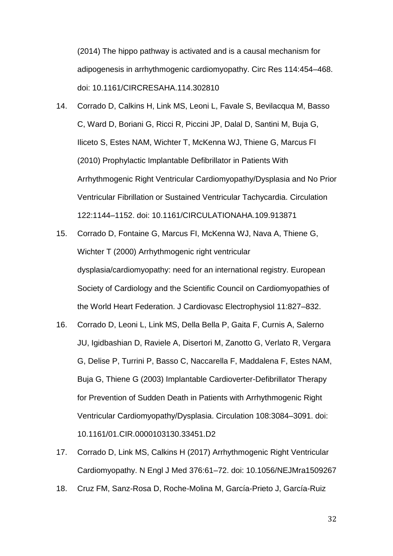(2014) The hippo pathway is activated and is a causal mechanism for adipogenesis in arrhythmogenic cardiomyopathy. Circ Res 114:454–468. doi: 10.1161/CIRCRESAHA.114.302810

- 14. Corrado D, Calkins H, Link MS, Leoni L, Favale S, Bevilacqua M, Basso C, Ward D, Boriani G, Ricci R, Piccini JP, Dalal D, Santini M, Buja G, Iliceto S, Estes NAM, Wichter T, McKenna WJ, Thiene G, Marcus FI (2010) Prophylactic Implantable Defibrillator in Patients With Arrhythmogenic Right Ventricular Cardiomyopathy/Dysplasia and No Prior Ventricular Fibrillation or Sustained Ventricular Tachycardia. Circulation 122:1144–1152. doi: 10.1161/CIRCULATIONAHA.109.913871
- 15. Corrado D, Fontaine G, Marcus FI, McKenna WJ, Nava A, Thiene G, Wichter T (2000) Arrhythmogenic right ventricular dysplasia/cardiomyopathy: need for an international registry. European Society of Cardiology and the Scientific Council on Cardiomyopathies of the World Heart Federation. J Cardiovasc Electrophysiol 11:827–832.
- 16. Corrado D, Leoni L, Link MS, Della Bella P, Gaita F, Curnis A, Salerno JU, Igidbashian D, Raviele A, Disertori M, Zanotto G, Verlato R, Vergara G, Delise P, Turrini P, Basso C, Naccarella F, Maddalena F, Estes NAM, Buja G, Thiene G (2003) Implantable Cardioverter-Defibrillator Therapy for Prevention of Sudden Death in Patients with Arrhythmogenic Right Ventricular Cardiomyopathy/Dysplasia. Circulation 108:3084–3091. doi: 10.1161/01.CIR.0000103130.33451.D2
- 17. Corrado D, Link MS, Calkins H (2017) Arrhythmogenic Right Ventricular Cardiomyopathy. N Engl J Med 376:61–72. doi: 10.1056/NEJMra1509267
- 18. Cruz FM, Sanz-Rosa D, Roche-Molina M, García-Prieto J, García-Ruiz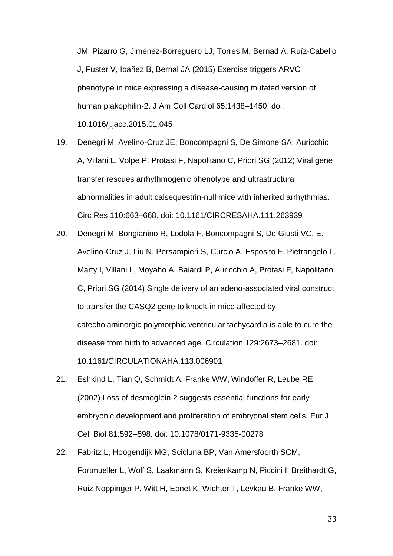JM, Pizarro G, Jiménez-Borreguero LJ, Torres M, Bernad A, Ruíz-Cabello J, Fuster V, Ibáñez B, Bernal JA (2015) Exercise triggers ARVC phenotype in mice expressing a disease-causing mutated version of human plakophilin-2. J Am Coll Cardiol 65:1438–1450. doi: 10.1016/j.jacc.2015.01.045

- 19. Denegri M, Avelino-Cruz JE, Boncompagni S, De Simone SA, Auricchio A, Villani L, Volpe P, Protasi F, Napolitano C, Priori SG (2012) Viral gene transfer rescues arrhythmogenic phenotype and ultrastructural abnormalities in adult calsequestrin-null mice with inherited arrhythmias. Circ Res 110:663–668. doi: 10.1161/CIRCRESAHA.111.263939
- 20. Denegri M, Bongianino R, Lodola F, Boncompagni S, De Giusti VC, E. Avelino-Cruz J, Liu N, Persampieri S, Curcio A, Esposito F, Pietrangelo L, Marty I, Villani L, Moyaho A, Baiardi P, Auricchio A, Protasi F, Napolitano C, Priori SG (2014) Single delivery of an adeno-associated viral construct to transfer the CASQ2 gene to knock-in mice affected by catecholaminergic polymorphic ventricular tachycardia is able to cure the disease from birth to advanced age. Circulation 129:2673–2681. doi: 10.1161/CIRCULATIONAHA.113.006901
- 21. Eshkind L, Tian Q, Schmidt A, Franke WW, Windoffer R, Leube RE (2002) Loss of desmoglein 2 suggests essential functions for early embryonic development and proliferation of embryonal stem cells. Eur J Cell Biol 81:592–598. doi: 10.1078/0171-9335-00278
- 22. Fabritz L, Hoogendijk MG, Scicluna BP, Van Amersfoorth SCM, Fortmueller L, Wolf S, Laakmann S, Kreienkamp N, Piccini I, Breithardt G, Ruiz Noppinger P, Witt H, Ebnet K, Wichter T, Levkau B, Franke WW,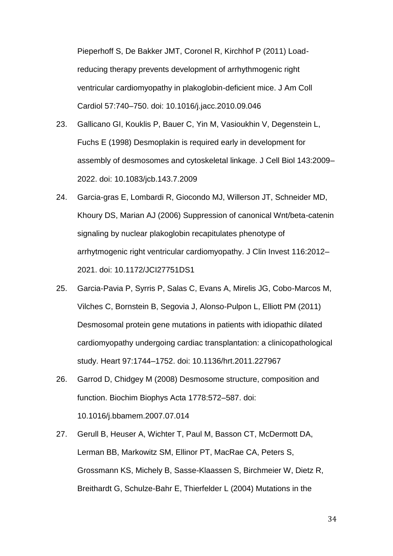Pieperhoff S, De Bakker JMT, Coronel R, Kirchhof P (2011) Loadreducing therapy prevents development of arrhythmogenic right ventricular cardiomyopathy in plakoglobin-deficient mice. J Am Coll Cardiol 57:740–750. doi: 10.1016/j.jacc.2010.09.046

- 23. Gallicano GI, Kouklis P, Bauer C, Yin M, Vasioukhin V, Degenstein L, Fuchs E (1998) Desmoplakin is required early in development for assembly of desmosomes and cytoskeletal linkage. J Cell Biol 143:2009– 2022. doi: 10.1083/jcb.143.7.2009
- 24. Garcia-gras E, Lombardi R, Giocondo MJ, Willerson JT, Schneider MD, Khoury DS, Marian AJ (2006) Suppression of canonical Wnt/beta-catenin signaling by nuclear plakoglobin recapitulates phenotype of arrhytmogenic right ventricular cardiomyopathy. J Clin Invest 116:2012– 2021. doi: 10.1172/JCI27751DS1
- 25. Garcia-Pavia P, Syrris P, Salas C, Evans A, Mirelis JG, Cobo-Marcos M, Vilches C, Bornstein B, Segovia J, Alonso-Pulpon L, Elliott PM (2011) Desmosomal protein gene mutations in patients with idiopathic dilated cardiomyopathy undergoing cardiac transplantation: a clinicopathological study. Heart 97:1744–1752. doi: 10.1136/hrt.2011.227967
- 26. Garrod D, Chidgey M (2008) Desmosome structure, composition and function. Biochim Biophys Acta 1778:572–587. doi: 10.1016/j.bbamem.2007.07.014
- 27. Gerull B, Heuser A, Wichter T, Paul M, Basson CT, McDermott DA, Lerman BB, Markowitz SM, Ellinor PT, MacRae CA, Peters S, Grossmann KS, Michely B, Sasse-Klaassen S, Birchmeier W, Dietz R, Breithardt G, Schulze-Bahr E, Thierfelder L (2004) Mutations in the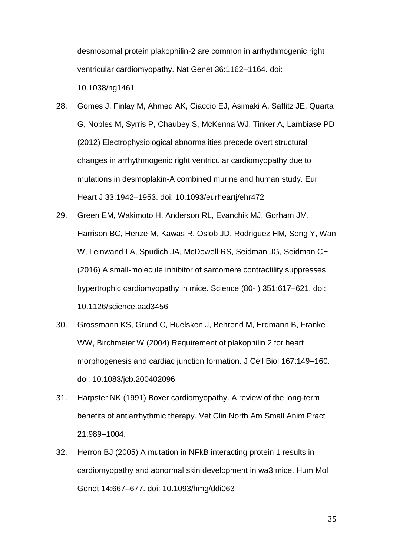desmosomal protein plakophilin-2 are common in arrhythmogenic right ventricular cardiomyopathy. Nat Genet 36:1162–1164. doi: 10.1038/ng1461

- 28. Gomes J, Finlay M, Ahmed AK, Ciaccio EJ, Asimaki A, Saffitz JE, Quarta G, Nobles M, Syrris P, Chaubey S, McKenna WJ, Tinker A, Lambiase PD (2012) Electrophysiological abnormalities precede overt structural changes in arrhythmogenic right ventricular cardiomyopathy due to mutations in desmoplakin-A combined murine and human study. Eur Heart J 33:1942–1953. doi: 10.1093/eurheartj/ehr472
- 29. Green EM, Wakimoto H, Anderson RL, Evanchik MJ, Gorham JM, Harrison BC, Henze M, Kawas R, Oslob JD, Rodriguez HM, Song Y, Wan W, Leinwand LA, Spudich JA, McDowell RS, Seidman JG, Seidman CE (2016) A small-molecule inhibitor of sarcomere contractility suppresses hypertrophic cardiomyopathy in mice. Science (80- ) 351:617–621. doi: 10.1126/science.aad3456
- 30. Grossmann KS, Grund C, Huelsken J, Behrend M, Erdmann B, Franke WW, Birchmeier W (2004) Requirement of plakophilin 2 for heart morphogenesis and cardiac junction formation. J Cell Biol 167:149–160. doi: 10.1083/jcb.200402096
- 31. Harpster NK (1991) Boxer cardiomyopathy. A review of the long-term benefits of antiarrhythmic therapy. Vet Clin North Am Small Anim Pract 21:989–1004.
- 32. Herron BJ (2005) A mutation in NFkB interacting protein 1 results in cardiomyopathy and abnormal skin development in wa3 mice. Hum Mol Genet 14:667–677. doi: 10.1093/hmg/ddi063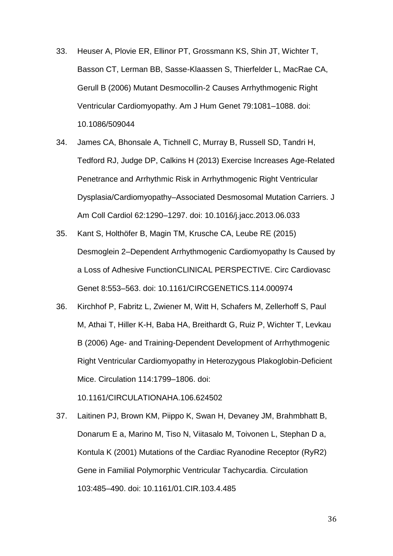- 33. Heuser A, Plovie ER, Ellinor PT, Grossmann KS, Shin JT, Wichter T, Basson CT, Lerman BB, Sasse-Klaassen S, Thierfelder L, MacRae CA, Gerull B (2006) Mutant Desmocollin-2 Causes Arrhythmogenic Right Ventricular Cardiomyopathy. Am J Hum Genet 79:1081–1088. doi: 10.1086/509044
- 34. James CA, Bhonsale A, Tichnell C, Murray B, Russell SD, Tandri H, Tedford RJ, Judge DP, Calkins H (2013) Exercise Increases Age-Related Penetrance and Arrhythmic Risk in Arrhythmogenic Right Ventricular Dysplasia/Cardiomyopathy–Associated Desmosomal Mutation Carriers. J Am Coll Cardiol 62:1290–1297. doi: 10.1016/j.jacc.2013.06.033
- 35. Kant S, Holthöfer B, Magin TM, Krusche CA, Leube RE (2015) Desmoglein 2–Dependent Arrhythmogenic Cardiomyopathy Is Caused by a Loss of Adhesive FunctionCLINICAL PERSPECTIVE. Circ Cardiovasc Genet 8:553–563. doi: 10.1161/CIRCGENETICS.114.000974
- 36. Kirchhof P, Fabritz L, Zwiener M, Witt H, Schafers M, Zellerhoff S, Paul M, Athai T, Hiller K-H, Baba HA, Breithardt G, Ruiz P, Wichter T, Levkau B (2006) Age- and Training-Dependent Development of Arrhythmogenic Right Ventricular Cardiomyopathy in Heterozygous Plakoglobin-Deficient Mice. Circulation 114:1799–1806. doi:

10.1161/CIRCULATIONAHA.106.624502

37. Laitinen PJ, Brown KM, Piippo K, Swan H, Devaney JM, Brahmbhatt B, Donarum E a, Marino M, Tiso N, Viitasalo M, Toivonen L, Stephan D a, Kontula K (2001) Mutations of the Cardiac Ryanodine Receptor (RyR2) Gene in Familial Polymorphic Ventricular Tachycardia. Circulation 103:485–490. doi: 10.1161/01.CIR.103.4.485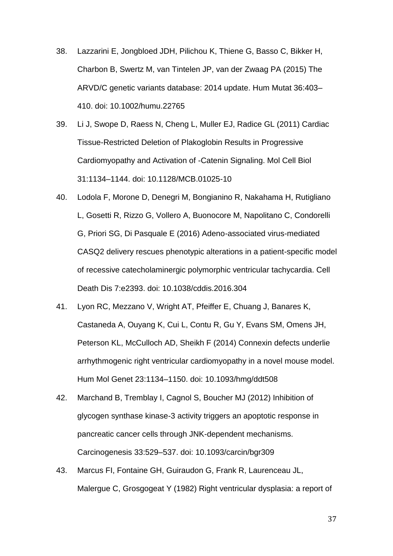- 38. Lazzarini E, Jongbloed JDH, Pilichou K, Thiene G, Basso C, Bikker H, Charbon B, Swertz M, van Tintelen JP, van der Zwaag PA (2015) The ARVD/C genetic variants database: 2014 update. Hum Mutat 36:403– 410. doi: 10.1002/humu.22765
- 39. Li J, Swope D, Raess N, Cheng L, Muller EJ, Radice GL (2011) Cardiac Tissue-Restricted Deletion of Plakoglobin Results in Progressive Cardiomyopathy and Activation of -Catenin Signaling. Mol Cell Biol 31:1134–1144. doi: 10.1128/MCB.01025-10
- 40. Lodola F, Morone D, Denegri M, Bongianino R, Nakahama H, Rutigliano L, Gosetti R, Rizzo G, Vollero A, Buonocore M, Napolitano C, Condorelli G, Priori SG, Di Pasquale E (2016) Adeno-associated virus-mediated CASQ2 delivery rescues phenotypic alterations in a patient-specific model of recessive catecholaminergic polymorphic ventricular tachycardia. Cell Death Dis 7:e2393. doi: 10.1038/cddis.2016.304
- 41. Lyon RC, Mezzano V, Wright AT, Pfeiffer E, Chuang J, Banares K, Castaneda A, Ouyang K, Cui L, Contu R, Gu Y, Evans SM, Omens JH, Peterson KL, McCulloch AD, Sheikh F (2014) Connexin defects underlie arrhythmogenic right ventricular cardiomyopathy in a novel mouse model. Hum Mol Genet 23:1134–1150. doi: 10.1093/hmg/ddt508
- 42. Marchand B, Tremblay I, Cagnol S, Boucher MJ (2012) Inhibition of glycogen synthase kinase-3 activity triggers an apoptotic response in pancreatic cancer cells through JNK-dependent mechanisms. Carcinogenesis 33:529–537. doi: 10.1093/carcin/bgr309
- 43. Marcus FI, Fontaine GH, Guiraudon G, Frank R, Laurenceau JL, Malergue C, Grosgogeat Y (1982) Right ventricular dysplasia: a report of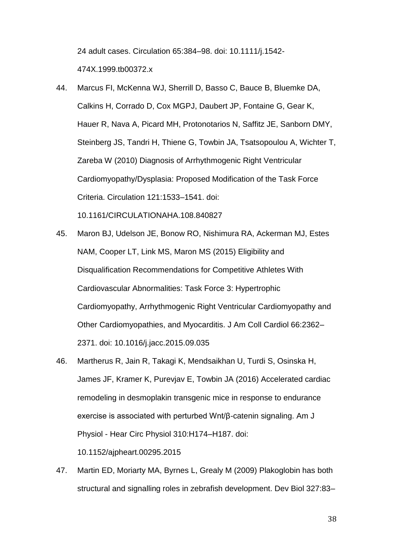24 adult cases. Circulation 65:384–98. doi: 10.1111/j.1542- 474X.1999.tb00372.x

- 44. Marcus FI, McKenna WJ, Sherrill D, Basso C, Bauce B, Bluemke DA, Calkins H, Corrado D, Cox MGPJ, Daubert JP, Fontaine G, Gear K, Hauer R, Nava A, Picard MH, Protonotarios N, Saffitz JE, Sanborn DMY, Steinberg JS, Tandri H, Thiene G, Towbin JA, Tsatsopoulou A, Wichter T, Zareba W (2010) Diagnosis of Arrhythmogenic Right Ventricular Cardiomyopathy/Dysplasia: Proposed Modification of the Task Force Criteria. Circulation 121:1533–1541. doi: 10.1161/CIRCULATIONAHA.108.840827
- 45. Maron BJ, Udelson JE, Bonow RO, Nishimura RA, Ackerman MJ, Estes NAM, Cooper LT, Link MS, Maron MS (2015) Eligibility and Disqualification Recommendations for Competitive Athletes With Cardiovascular Abnormalities: Task Force 3: Hypertrophic Cardiomyopathy, Arrhythmogenic Right Ventricular Cardiomyopathy and Other Cardiomyopathies, and Myocarditis. J Am Coll Cardiol 66:2362– 2371. doi: 10.1016/j.jacc.2015.09.035
- 46. Martherus R, Jain R, Takagi K, Mendsaikhan U, Turdi S, Osinska H, James JF, Kramer K, Purevjav E, Towbin JA (2016) Accelerated cardiac remodeling in desmoplakin transgenic mice in response to endurance exercise is associated with perturbed Wnt/β-catenin signaling. Am J Physiol - Hear Circ Physiol 310:H174–H187. doi:

10.1152/ajpheart.00295.2015

47. Martin ED, Moriarty MA, Byrnes L, Grealy M (2009) Plakoglobin has both structural and signalling roles in zebrafish development. Dev Biol 327:83–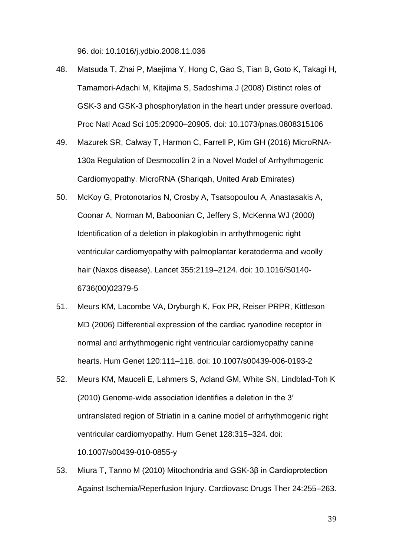96. doi: 10.1016/j.ydbio.2008.11.036

- 48. Matsuda T, Zhai P, Maejima Y, Hong C, Gao S, Tian B, Goto K, Takagi H, Tamamori-Adachi M, Kitajima S, Sadoshima J (2008) Distinct roles of GSK-3 and GSK-3 phosphorylation in the heart under pressure overload. Proc Natl Acad Sci 105:20900–20905. doi: 10.1073/pnas.0808315106
- 49. Mazurek SR, Calway T, Harmon C, Farrell P, Kim GH (2016) MicroRNA-130a Regulation of Desmocollin 2 in a Novel Model of Arrhythmogenic Cardiomyopathy. MicroRNA (Shariqah, United Arab Emirates)
- 50. McKoy G, Protonotarios N, Crosby A, Tsatsopoulou A, Anastasakis A, Coonar A, Norman M, Baboonian C, Jeffery S, McKenna WJ (2000) Identification of a deletion in plakoglobin in arrhythmogenic right ventricular cardiomyopathy with palmoplantar keratoderma and woolly hair (Naxos disease). Lancet 355:2119–2124. doi: 10.1016/S0140- 6736(00)02379-5
- 51. Meurs KM, Lacombe VA, Dryburgh K, Fox PR, Reiser PRPR, Kittleson MD (2006) Differential expression of the cardiac ryanodine receptor in normal and arrhythmogenic right ventricular cardiomyopathy canine hearts. Hum Genet 120:111–118. doi: 10.1007/s00439-006-0193-2
- 52. Meurs KM, Mauceli E, Lahmers S, Acland GM, White SN, Lindblad-Toh K (2010) Genome-wide association identifies a deletion in the 3′ untranslated region of Striatin in a canine model of arrhythmogenic right ventricular cardiomyopathy. Hum Genet 128:315–324. doi: 10.1007/s00439-010-0855-y
- 53. Miura T, Tanno M (2010) Mitochondria and GSK-3β in Cardioprotection Against Ischemia/Reperfusion Injury. Cardiovasc Drugs Ther 24:255–263.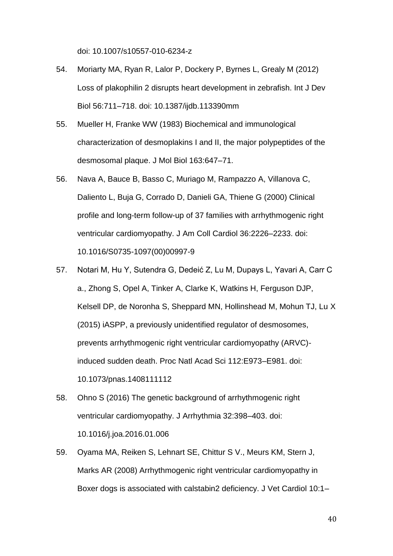doi: 10.1007/s10557-010-6234-z

- 54. Moriarty MA, Ryan R, Lalor P, Dockery P, Byrnes L, Grealy M (2012) Loss of plakophilin 2 disrupts heart development in zebrafish. Int J Dev Biol 56:711–718. doi: 10.1387/ijdb.113390mm
- 55. Mueller H, Franke WW (1983) Biochemical and immunological characterization of desmoplakins I and II, the major polypeptides of the desmosomal plaque. J Mol Biol 163:647–71.
- 56. Nava A, Bauce B, Basso C, Muriago M, Rampazzo A, Villanova C, Daliento L, Buja G, Corrado D, Danieli GA, Thiene G (2000) Clinical profile and long-term follow-up of 37 families with arrhythmogenic right ventricular cardiomyopathy. J Am Coll Cardiol 36:2226–2233. doi: 10.1016/S0735-1097(00)00997-9
- 57. Notari M, Hu Y, Sutendra G, Dedeić Z, Lu M, Dupays L, Yavari A, Carr C a., Zhong S, Opel A, Tinker A, Clarke K, Watkins H, Ferguson DJP, Kelsell DP, de Noronha S, Sheppard MN, Hollinshead M, Mohun TJ, Lu X (2015) iASPP, a previously unidentified regulator of desmosomes, prevents arrhythmogenic right ventricular cardiomyopathy (ARVC) induced sudden death. Proc Natl Acad Sci 112:E973–E981. doi: 10.1073/pnas.1408111112
- 58. Ohno S (2016) The genetic background of arrhythmogenic right ventricular cardiomyopathy. J Arrhythmia 32:398–403. doi: 10.1016/j.joa.2016.01.006
- 59. Oyama MA, Reiken S, Lehnart SE, Chittur S V., Meurs KM, Stern J, Marks AR (2008) Arrhythmogenic right ventricular cardiomyopathy in Boxer dogs is associated with calstabin2 deficiency. J Vet Cardiol 10:1–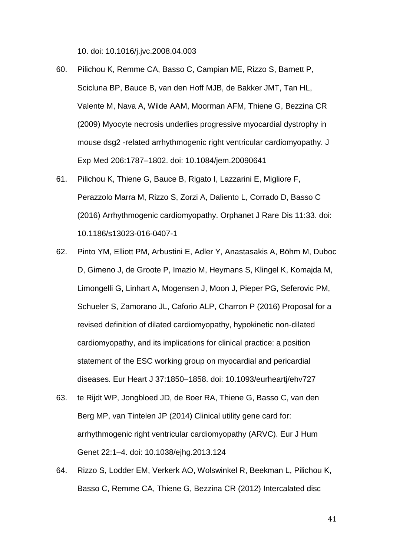10. doi: 10.1016/j.jvc.2008.04.003

- 60. Pilichou K, Remme CA, Basso C, Campian ME, Rizzo S, Barnett P, Scicluna BP, Bauce B, van den Hoff MJB, de Bakker JMT, Tan HL, Valente M, Nava A, Wilde AAM, Moorman AFM, Thiene G, Bezzina CR (2009) Myocyte necrosis underlies progressive myocardial dystrophy in mouse dsg2 -related arrhythmogenic right ventricular cardiomyopathy. J Exp Med 206:1787–1802. doi: 10.1084/jem.20090641
- 61. Pilichou K, Thiene G, Bauce B, Rigato I, Lazzarini E, Migliore F, Perazzolo Marra M, Rizzo S, Zorzi A, Daliento L, Corrado D, Basso C (2016) Arrhythmogenic cardiomyopathy. Orphanet J Rare Dis 11:33. doi: 10.1186/s13023-016-0407-1
- 62. Pinto YM, Elliott PM, Arbustini E, Adler Y, Anastasakis A, Böhm M, Duboc D, Gimeno J, de Groote P, Imazio M, Heymans S, Klingel K, Komajda M, Limongelli G, Linhart A, Mogensen J, Moon J, Pieper PG, Seferovic PM, Schueler S, Zamorano JL, Caforio ALP, Charron P (2016) Proposal for a revised definition of dilated cardiomyopathy, hypokinetic non-dilated cardiomyopathy, and its implications for clinical practice: a position statement of the ESC working group on myocardial and pericardial diseases. Eur Heart J 37:1850–1858. doi: 10.1093/eurheartj/ehv727
- 63. te Rijdt WP, Jongbloed JD, de Boer RA, Thiene G, Basso C, van den Berg MP, van Tintelen JP (2014) Clinical utility gene card for: arrhythmogenic right ventricular cardiomyopathy (ARVC). Eur J Hum Genet 22:1–4. doi: 10.1038/ejhg.2013.124
- 64. Rizzo S, Lodder EM, Verkerk AO, Wolswinkel R, Beekman L, Pilichou K, Basso C, Remme CA, Thiene G, Bezzina CR (2012) Intercalated disc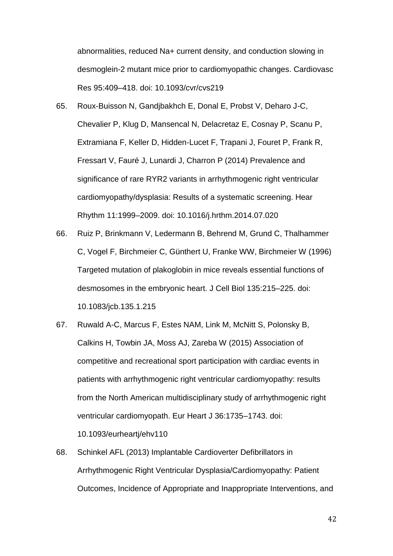abnormalities, reduced Na+ current density, and conduction slowing in desmoglein-2 mutant mice prior to cardiomyopathic changes. Cardiovasc Res 95:409–418. doi: 10.1093/cvr/cvs219

- 65. Roux-Buisson N, Gandjbakhch E, Donal E, Probst V, Deharo J-C, Chevalier P, Klug D, Mansencal N, Delacretaz E, Cosnay P, Scanu P, Extramiana F, Keller D, Hidden-Lucet F, Trapani J, Fouret P, Frank R, Fressart V, Fauré J, Lunardi J, Charron P (2014) Prevalence and significance of rare RYR2 variants in arrhythmogenic right ventricular cardiomyopathy/dysplasia: Results of a systematic screening. Hear Rhythm 11:1999–2009. doi: 10.1016/j.hrthm.2014.07.020
- 66. Ruiz P, Brinkmann V, Ledermann B, Behrend M, Grund C, Thalhammer C, Vogel F, Birchmeier C, Günthert U, Franke WW, Birchmeier W (1996) Targeted mutation of plakoglobin in mice reveals essential functions of desmosomes in the embryonic heart. J Cell Biol 135:215–225. doi: 10.1083/jcb.135.1.215
- 67. Ruwald A-C, Marcus F, Estes NAM, Link M, McNitt S, Polonsky B, Calkins H, Towbin JA, Moss AJ, Zareba W (2015) Association of competitive and recreational sport participation with cardiac events in patients with arrhythmogenic right ventricular cardiomyopathy: results from the North American multidisciplinary study of arrhythmogenic right ventricular cardiomyopath. Eur Heart J 36:1735–1743. doi: 10.1093/eurheartj/ehv110
- 68. Schinkel AFL (2013) Implantable Cardioverter Defibrillators in Arrhythmogenic Right Ventricular Dysplasia/Cardiomyopathy: Patient Outcomes, Incidence of Appropriate and Inappropriate Interventions, and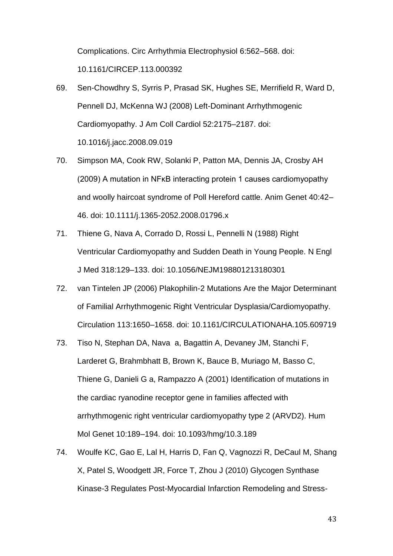Complications. Circ Arrhythmia Electrophysiol 6:562–568. doi: 10.1161/CIRCEP.113.000392

- 69. Sen-Chowdhry S, Syrris P, Prasad SK, Hughes SE, Merrifield R, Ward D, Pennell DJ, McKenna WJ (2008) Left-Dominant Arrhythmogenic Cardiomyopathy. J Am Coll Cardiol 52:2175–2187. doi: 10.1016/j.jacc.2008.09.019
- 70. Simpson MA, Cook RW, Solanki P, Patton MA, Dennis JA, Crosby AH (2009) A mutation in NFκB interacting protein 1 causes cardiomyopathy and woolly haircoat syndrome of Poll Hereford cattle. Anim Genet 40:42– 46. doi: 10.1111/j.1365-2052.2008.01796.x
- 71. Thiene G, Nava A, Corrado D, Rossi L, Pennelli N (1988) Right Ventricular Cardiomyopathy and Sudden Death in Young People. N Engl J Med 318:129–133. doi: 10.1056/NEJM198801213180301
- 72. van Tintelen JP (2006) Plakophilin-2 Mutations Are the Major Determinant of Familial Arrhythmogenic Right Ventricular Dysplasia/Cardiomyopathy. Circulation 113:1650–1658. doi: 10.1161/CIRCULATIONAHA.105.609719
- 73. Tiso N, Stephan DA, Nava a, Bagattin A, Devaney JM, Stanchi F, Larderet G, Brahmbhatt B, Brown K, Bauce B, Muriago M, Basso C, Thiene G, Danieli G a, Rampazzo A (2001) Identification of mutations in the cardiac ryanodine receptor gene in families affected with arrhythmogenic right ventricular cardiomyopathy type 2 (ARVD2). Hum Mol Genet 10:189–194. doi: 10.1093/hmg/10.3.189
- 74. Woulfe KC, Gao E, Lal H, Harris D, Fan Q, Vagnozzi R, DeCaul M, Shang X, Patel S, Woodgett JR, Force T, Zhou J (2010) Glycogen Synthase Kinase-3 Regulates Post-Myocardial Infarction Remodeling and Stress-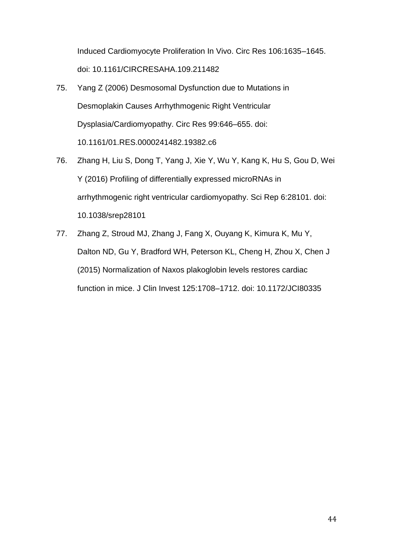Induced Cardiomyocyte Proliferation In Vivo. Circ Res 106:1635–1645. doi: 10.1161/CIRCRESAHA.109.211482

- 75. Yang Z (2006) Desmosomal Dysfunction due to Mutations in Desmoplakin Causes Arrhythmogenic Right Ventricular Dysplasia/Cardiomyopathy. Circ Res 99:646–655. doi: 10.1161/01.RES.0000241482.19382.c6
- 76. Zhang H, Liu S, Dong T, Yang J, Xie Y, Wu Y, Kang K, Hu S, Gou D, Wei Y (2016) Profiling of differentially expressed microRNAs in arrhythmogenic right ventricular cardiomyopathy. Sci Rep 6:28101. doi: 10.1038/srep28101
- 77. Zhang Z, Stroud MJ, Zhang J, Fang X, Ouyang K, Kimura K, Mu Y, Dalton ND, Gu Y, Bradford WH, Peterson KL, Cheng H, Zhou X, Chen J (2015) Normalization of Naxos plakoglobin levels restores cardiac function in mice. J Clin Invest 125:1708–1712. doi: 10.1172/JCI80335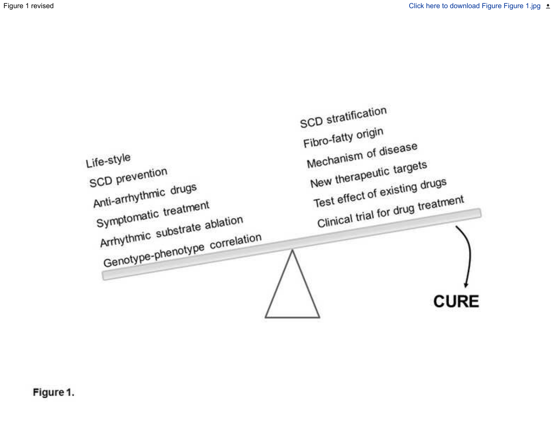# Figure 1.